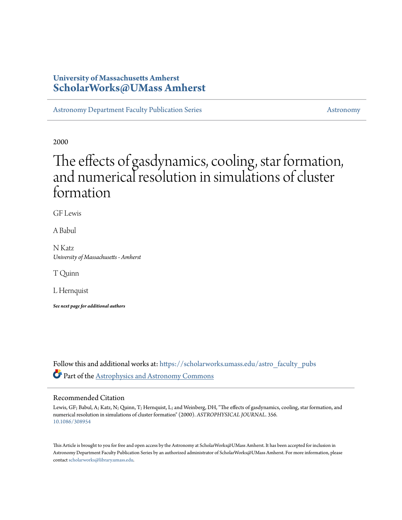# **University of Massachusetts Amherst [ScholarWorks@UMass Amherst](https://scholarworks.umass.edu?utm_source=scholarworks.umass.edu%2Fastro_faculty_pubs%2F356&utm_medium=PDF&utm_campaign=PDFCoverPages)**

[Astronomy Department Faculty Publication Series](https://scholarworks.umass.edu/astro_faculty_pubs?utm_source=scholarworks.umass.edu%2Fastro_faculty_pubs%2F356&utm_medium=PDF&utm_campaign=PDFCoverPages) [Astronomy](https://scholarworks.umass.edu/astro?utm_source=scholarworks.umass.edu%2Fastro_faculty_pubs%2F356&utm_medium=PDF&utm_campaign=PDFCoverPages) Astronomy

2000

# The effects of gasdynamics, cooling, star formation, and numerical resolution in simulations of cluster formation

GF Lewis

A Babul

N Katz *University of Massachusetts - Amherst*

T Quinn

L Hernquist

*See next page for additional authors*

Follow this and additional works at: [https://scholarworks.umass.edu/astro\\_faculty\\_pubs](https://scholarworks.umass.edu/astro_faculty_pubs?utm_source=scholarworks.umass.edu%2Fastro_faculty_pubs%2F356&utm_medium=PDF&utm_campaign=PDFCoverPages) Part of the [Astrophysics and Astronomy Commons](http://network.bepress.com/hgg/discipline/123?utm_source=scholarworks.umass.edu%2Fastro_faculty_pubs%2F356&utm_medium=PDF&utm_campaign=PDFCoverPages)

# Recommended Citation

Lewis, GF; Babul, A; Katz, N; Quinn, T; Hernquist, L; and Weinberg, DH, "The effects of gasdynamics, cooling, star formation, and numerical resolution in simulations of cluster formation" (2000). *ASTROPHYSICAL JOURNAL*. 356. <10.1086/308954>

This Article is brought to you for free and open access by the Astronomy at ScholarWorks@UMass Amherst. It has been accepted for inclusion in Astronomy Department Faculty Publication Series by an authorized administrator of ScholarWorks@UMass Amherst. For more information, please contact [scholarworks@library.umass.edu](mailto:scholarworks@library.umass.edu).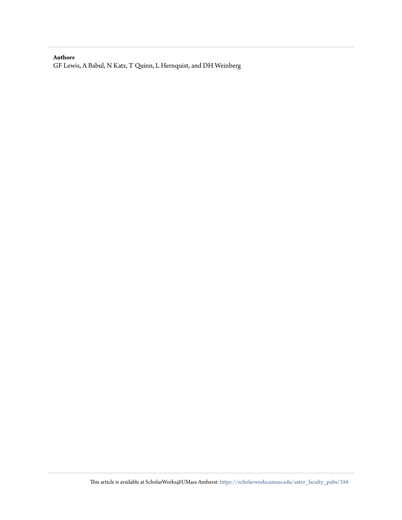## **Authors**

GF Lewis, A Babul, N Katz, T Quinn, L Hernquist, and DH Weinberg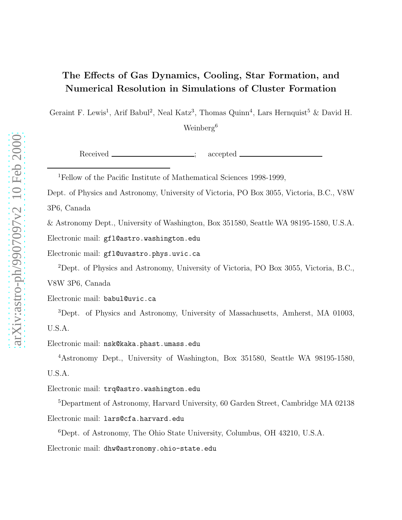# The Effects of Gas Dynamics, Cooling, Star Formation, and Numerical Resolution in Simulations of Cluster Formation

Geraint F. Lewis<sup>1</sup>, Arif Babul<sup>2</sup>, Neal Katz<sup>3</sup>, Thomas Quinn<sup>4</sup>, Lars Hernquist<sup>5</sup> & David H.

Weinberg<sup>6</sup>

Received <u>example accepted</u> in accepted accepted accepted accepted accepted accepted accepted and  $\frac{1}{2}$ 

<sup>1</sup>Fellow of the Pacific Institute of Mathematical Sciences 1998-1999,

Dept. of Physics and Astronomy, University of Victoria, PO Box 3055, Victoria, B.C., V8W 3P6, Canada

& Astronomy Dept., University of Washington, Box 351580, Seattle WA 98195-1580, U.S.A. Electronic mail: gfl@astro.washington.edu

Electronic mail: gfl@uvastro.phys.uvic.ca

<sup>2</sup>Dept. of Physics and Astronomy, University of Victoria, PO Box 3055, Victoria, B.C.,

V8W 3P6, Canada

Electronic mail: babul@uvic.ca

<sup>3</sup>Dept. of Physics and Astronomy, University of Massachusetts, Amherst, MA 01003, U.S.A.

Electronic mail: nsk@kaka.phast.umass.edu

<sup>4</sup>Astronomy Dept., University of Washington, Box 351580, Seattle WA 98195-1580,

U.S.A.

Electronic mail: trq@astro.washington.edu

<sup>5</sup>Department of Astronomy, Harvard University, 60 Garden Street, Cambridge MA 02138 Electronic mail: lars@cfa.harvard.edu

<sup>6</sup>Dept. of Astronomy, The Ohio State University, Columbus, OH 43210, U.S.A.

Electronic mail: dhw@astronomy.ohio-state.edu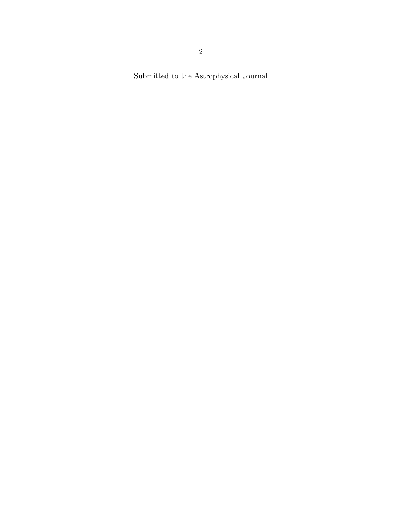Submitted to the Astrophysical Journal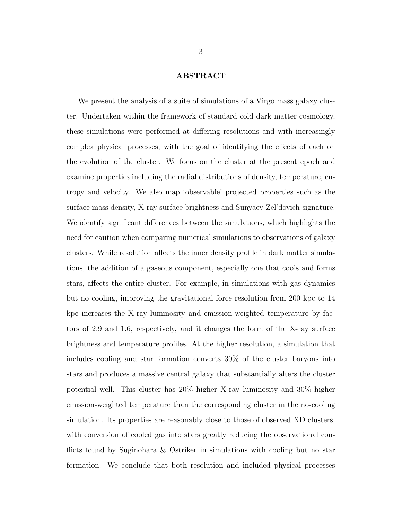## ABSTRACT

We present the analysis of a suite of simulations of a Virgo mass galaxy cluster. Undertaken within the framework of standard cold dark matter cosmology, these simulations were performed at differing resolutions and with increasingly complex physical processes, with the goal of identifying the effects of each on the evolution of the cluster. We focus on the cluster at the present epoch and examine properties including the radial distributions of density, temperature, entropy and velocity. We also map 'observable' projected properties such as the surface mass density, X-ray surface brightness and Sunyaev-Zel'dovich signature. We identify significant differences between the simulations, which highlights the need for caution when comparing numerical simulations to observations of galaxy clusters. While resolution affects the inner density profile in dark matter simulations, the addition of a gaseous component, especially one that cools and forms stars, affects the entire cluster. For example, in simulations with gas dynamics but no cooling, improving the gravitational force resolution from 200 kpc to 14 kpc increases the X-ray luminosity and emission-weighted temperature by factors of 2.9 and 1.6, respectively, and it changes the form of the X-ray surface brightness and temperature profiles. At the higher resolution, a simulation that includes cooling and star formation converts 30% of the cluster baryons into stars and produces a massive central galaxy that substantially alters the cluster potential well. This cluster has 20% higher X-ray luminosity and 30% higher emission-weighted temperature than the corresponding cluster in the no-cooling simulation. Its properties are reasonably close to those of observed XD clusters, with conversion of cooled gas into stars greatly reducing the observational conflicts found by Suginohara & Ostriker in simulations with cooling but no star formation. We conclude that both resolution and included physical processes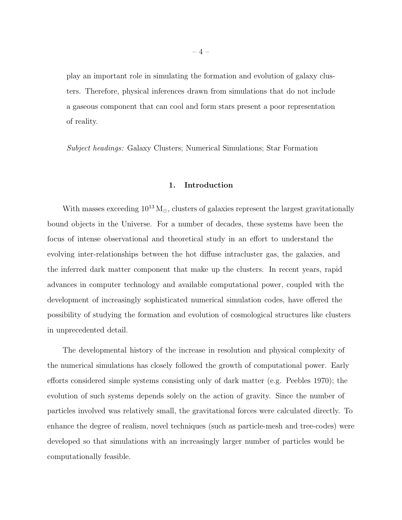play an important role in simulating the formation and evolution of galaxy clusters. Therefore, physical inferences drawn from simulations that do not include a gaseous component that can cool and form stars present a poor representation of reality.

Subject headings: Galaxy Clusters; Numerical Simulations; Star Formation

# 1. Introduction

With masses exceeding  $10^{13} M_{\odot}$ , clusters of galaxies represent the largest gravitationally bound objects in the Universe. For a number of decades, these systems have been the focus of intense observational and theoretical study in an effort to understand the evolving inter-relationships between the hot diffuse intracluster gas, the galaxies, and the inferred dark matter component that make up the clusters. In recent years, rapid advances in computer technology and available computational power, coupled with the development of increasingly sophisticated numerical simulation codes, have offered the possibility of studying the formation and evolution of cosmological structures like clusters in unprecedented detail.

The developmental history of the increase in resolution and physical complexity of the numerical simulations has closely followed the growth of computational power. Early efforts considered simple systems consisting only of dark matter (e.g. Peebles 1970); the evolution of such systems depends solely on the action of gravity. Since the number of particles involved was relatively small, the gravitational forces were calculated directly. To enhance the degree of realism, novel techniques (such as particle-mesh and tree-codes) were developed so that simulations with an increasingly larger number of particles would be computationally feasible.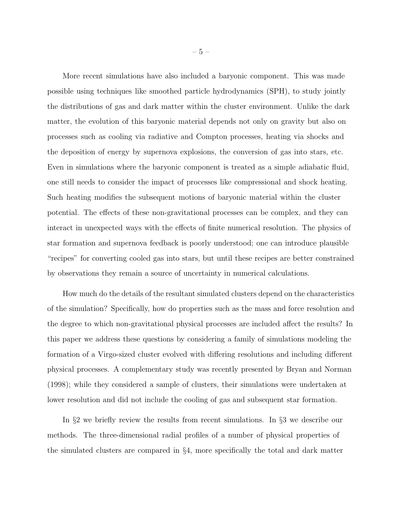More recent simulations have also included a baryonic component. This was made possible using techniques like smoothed particle hydrodynamics (SPH), to study jointly the distributions of gas and dark matter within the cluster environment. Unlike the dark matter, the evolution of this baryonic material depends not only on gravity but also on processes such as cooling via radiative and Compton processes, heating via shocks and the deposition of energy by supernova explosions, the conversion of gas into stars, etc. Even in simulations where the baryonic component is treated as a simple adiabatic fluid, one still needs to consider the impact of processes like compressional and shock heating. Such heating modifies the subsequent motions of baryonic material within the cluster potential. The effects of these non-gravitational processes can be complex, and they can interact in unexpected ways with the effects of finite numerical resolution. The physics of star formation and supernova feedback is poorly understood; one can introduce plausible "recipes" for converting cooled gas into stars, but until these recipes are better constrained by observations they remain a source of uncertainty in numerical calculations.

How much do the details of the resultant simulated clusters depend on the characteristics of the simulation? Specifically, how do properties such as the mass and force resolution and the degree to which non-gravitational physical processes are included affect the results? In this paper we address these questions by considering a family of simulations modeling the formation of a Virgo-sized cluster evolved with differing resolutions and including different physical processes. A complementary study was recently presented by Bryan and Norman (1998); while they considered a sample of clusters, their simulations were undertaken at lower resolution and did not include the cooling of gas and subsequent star formation.

In §2 we briefly review the results from recent simulations. In §3 we describe our methods. The three-dimensional radial profiles of a number of physical properties of the simulated clusters are compared in §4, more specifically the total and dark matter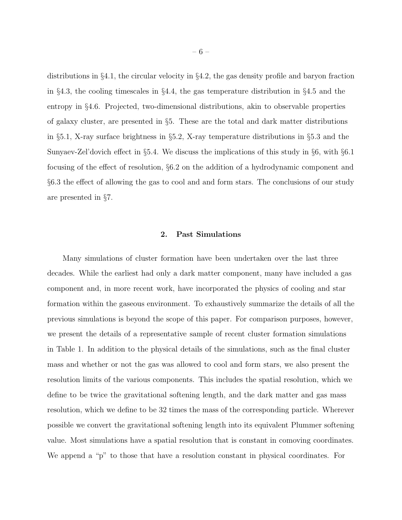distributions in §4.1, the circular velocity in §4.2, the gas density profile and baryon fraction in §4.3, the cooling timescales in §4.4, the gas temperature distribution in §4.5 and the entropy in §4.6. Projected, two-dimensional distributions, akin to observable properties of galaxy cluster, are presented in §5. These are the total and dark matter distributions in §5.1, X-ray surface brightness in §5.2, X-ray temperature distributions in §5.3 and the Sunyaev-Zel'dovich effect in §5.4. We discuss the implications of this study in §6, with §6.1 focusing of the effect of resolution, §6.2 on the addition of a hydrodynamic component and §6.3 the effect of allowing the gas to cool and and form stars. The conclusions of our study are presented in §7.

# 2. Past Simulations

Many simulations of cluster formation have been undertaken over the last three decades. While the earliest had only a dark matter component, many have included a gas component and, in more recent work, have incorporated the physics of cooling and star formation within the gaseous environment. To exhaustively summarize the details of all the previous simulations is beyond the scope of this paper. For comparison purposes, however, we present the details of a representative sample of recent cluster formation simulations in Table 1. In addition to the physical details of the simulations, such as the final cluster mass and whether or not the gas was allowed to cool and form stars, we also present the resolution limits of the various components. This includes the spatial resolution, which we define to be twice the gravitational softening length, and the dark matter and gas mass resolution, which we define to be 32 times the mass of the corresponding particle. Wherever possible we convert the gravitational softening length into its equivalent Plummer softening value. Most simulations have a spatial resolution that is constant in comoving coordinates. We append a "p" to those that have a resolution constant in physical coordinates. For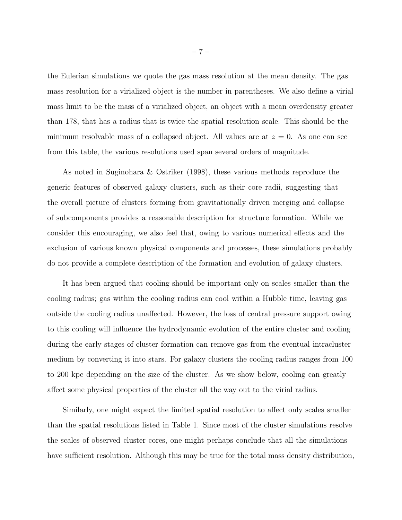the Eulerian simulations we quote the gas mass resolution at the mean density. The gas mass resolution for a virialized object is the number in parentheses. We also define a virial mass limit to be the mass of a virialized object, an object with a mean overdensity greater than 178, that has a radius that is twice the spatial resolution scale. This should be the minimum resolvable mass of a collapsed object. All values are at  $z = 0$ . As one can see from this table, the various resolutions used span several orders of magnitude.

As noted in Suginohara & Ostriker (1998), these various methods reproduce the generic features of observed galaxy clusters, such as their core radii, suggesting that the overall picture of clusters forming from gravitationally driven merging and collapse of subcomponents provides a reasonable description for structure formation. While we consider this encouraging, we also feel that, owing to various numerical effects and the exclusion of various known physical components and processes, these simulations probably do not provide a complete description of the formation and evolution of galaxy clusters.

It has been argued that cooling should be important only on scales smaller than the cooling radius; gas within the cooling radius can cool within a Hubble time, leaving gas outside the cooling radius unaffected. However, the loss of central pressure support owing to this cooling will influence the hydrodynamic evolution of the entire cluster and cooling during the early stages of cluster formation can remove gas from the eventual intracluster medium by converting it into stars. For galaxy clusters the cooling radius ranges from 100 to 200 kpc depending on the size of the cluster. As we show below, cooling can greatly affect some physical properties of the cluster all the way out to the virial radius.

Similarly, one might expect the limited spatial resolution to affect only scales smaller than the spatial resolutions listed in Table 1. Since most of the cluster simulations resolve the scales of observed cluster cores, one might perhaps conclude that all the simulations have sufficient resolution. Although this may be true for the total mass density distribution,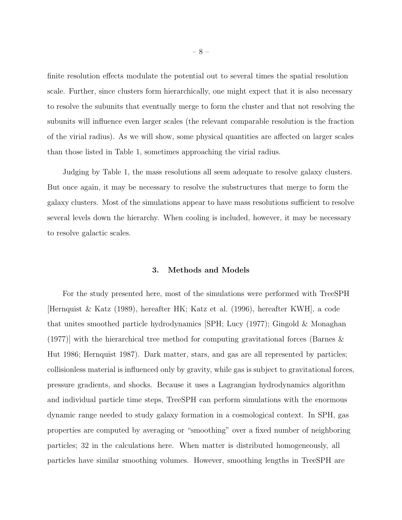finite resolution effects modulate the potential out to several times the spatial resolution scale. Further, since clusters form hierarchically, one might expect that it is also necessary to resolve the subunits that eventually merge to form the cluster and that not resolving the subunits will influence even larger scales (the relevant comparable resolution is the fraction of the virial radius). As we will show, some physical quantities are affected on larger scales than those listed in Table 1, sometimes approaching the virial radius.

Judging by Table 1, the mass resolutions all seem adequate to resolve galaxy clusters. But once again, it may be necessary to resolve the substructures that merge to form the galaxy clusters. Most of the simulations appear to have mass resolutions sufficient to resolve several levels down the hierarchy. When cooling is included, however, it may be necessary to resolve galactic scales.

#### 3. Methods and Models

For the study presented here, most of the simulations were performed with TreeSPH [Hernquist & Katz (1989), hereafter HK; Katz et al. (1996), hereafter KWH], a code that unites smoothed particle hydrodynamics [SPH; Lucy (1977); Gingold & Monaghan (1977)] with the hierarchical tree method for computing gravitational forces (Barnes & Hut 1986; Hernquist 1987). Dark matter, stars, and gas are all represented by particles; collisionless material is influenced only by gravity, while gas is subject to gravitational forces, pressure gradients, and shocks. Because it uses a Lagrangian hydrodynamics algorithm and individual particle time steps, TreeSPH can perform simulations with the enormous dynamic range needed to study galaxy formation in a cosmological context. In SPH, gas properties are computed by averaging or "smoothing" over a fixed number of neighboring particles; 32 in the calculations here. When matter is distributed homogeneously, all particles have similar smoothing volumes. However, smoothing lengths in TreeSPH are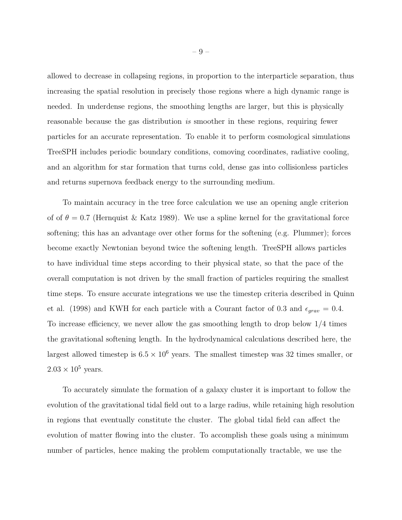allowed to decrease in collapsing regions, in proportion to the interparticle separation, thus increasing the spatial resolution in precisely those regions where a high dynamic range is needed. In underdense regions, the smoothing lengths are larger, but this is physically reasonable because the gas distribution is smoother in these regions, requiring fewer particles for an accurate representation. To enable it to perform cosmological simulations TreeSPH includes periodic boundary conditions, comoving coordinates, radiative cooling, and an algorithm for star formation that turns cold, dense gas into collisionless particles and returns supernova feedback energy to the surrounding medium.

To maintain accuracy in the tree force calculation we use an opening angle criterion of of  $\theta = 0.7$  (Hernquist & Katz 1989). We use a spline kernel for the gravitational force softening; this has an advantage over other forms for the softening (e.g. Plummer); forces become exactly Newtonian beyond twice the softening length. TreeSPH allows particles to have individual time steps according to their physical state, so that the pace of the overall computation is not driven by the small fraction of particles requiring the smallest time steps. To ensure accurate integrations we use the timestep criteria described in Quinn et al. (1998) and KWH for each particle with a Courant factor of 0.3 and  $\epsilon_{grav} = 0.4$ . To increase efficiency, we never allow the gas smoothing length to drop below 1/4 times the gravitational softening length. In the hydrodynamical calculations described here, the largest allowed timestep is  $6.5 \times 10^6$  years. The smallest timestep was 32 times smaller, or  $2.03 \times 10^5$  years.

To accurately simulate the formation of a galaxy cluster it is important to follow the evolution of the gravitational tidal field out to a large radius, while retaining high resolution in regions that eventually constitute the cluster. The global tidal field can affect the evolution of matter flowing into the cluster. To accomplish these goals using a minimum number of particles, hence making the problem computationally tractable, we use the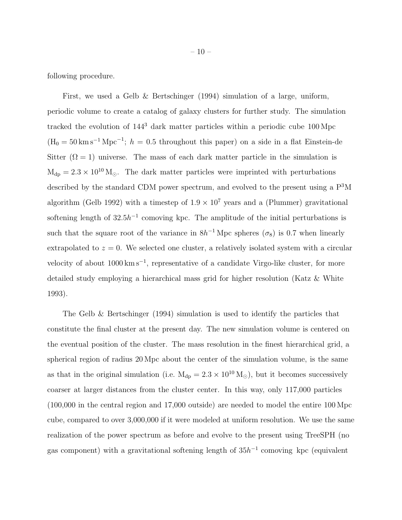following procedure.

First, we used a Gelb & Bertschinger (1994) simulation of a large, uniform, periodic volume to create a catalog of galaxy clusters for further study. The simulation tracked the evolution of 144<sup>3</sup> dark matter particles within a periodic cube 100 Mpc  $(H_0 = 50 \text{ km s}^{-1} \text{ Mpc}^{-1}; h = 0.5 \text{ throughout this paper})$  on a side in a flat Einstein-de Sitter  $(\Omega = 1)$  universe. The mass of each dark matter particle in the simulation is  $M_{dp} = 2.3 \times 10^{10} M_{\odot}$ . The dark matter particles were imprinted with perturbations described by the standard CDM power spectrum, and evolved to the present using a  $P^{3}M$ algorithm (Gelb 1992) with a timestep of  $1.9 \times 10^7$  years and a (Plummer) gravitational softening length of  $32.5h^{-1}$  comoving kpc. The amplitude of the initial perturbations is such that the square root of the variance in  $8h^{-1}$  Mpc spheres  $(\sigma_8)$  is 0.7 when linearly extrapolated to  $z = 0$ . We selected one cluster, a relatively isolated system with a circular velocity of about 1000 km s<sup>−</sup><sup>1</sup> , representative of a candidate Virgo-like cluster, for more detailed study employing a hierarchical mass grid for higher resolution (Katz & White 1993).

The Gelb & Bertschinger (1994) simulation is used to identify the particles that constitute the final cluster at the present day. The new simulation volume is centered on the eventual position of the cluster. The mass resolution in the finest hierarchical grid, a spherical region of radius 20 Mpc about the center of the simulation volume, is the same as that in the original simulation (i.e.  $M_{dp} = 2.3 \times 10^{10} M_{\odot}$ ), but it becomes successively coarser at larger distances from the cluster center. In this way, only 117,000 particles (100,000 in the central region and 17,000 outside) are needed to model the entire 100 Mpc cube, compared to over 3,000,000 if it were modeled at uniform resolution. We use the same realization of the power spectrum as before and evolve to the present using TreeSPH (no gas component) with a gravitational softening length of  $35h^{-1}$  comoving kpc (equivalent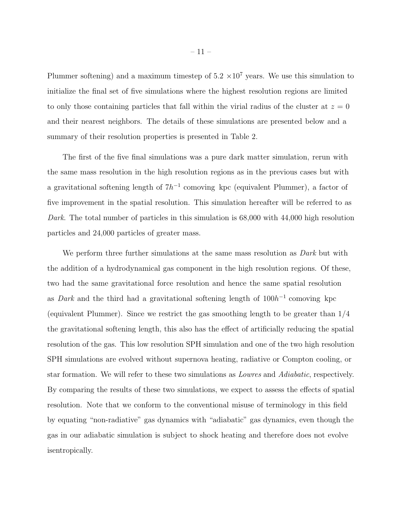Plummer softening) and a maximum timestep of  $5.2 \times 10^7$  years. We use this simulation to initialize the final set of five simulations where the highest resolution regions are limited to only those containing particles that fall within the virial radius of the cluster at  $z = 0$ and their nearest neighbors. The details of these simulations are presented below and a summary of their resolution properties is presented in Table 2.

The first of the five final simulations was a pure dark matter simulation, rerun with the same mass resolution in the high resolution regions as in the previous cases but with a gravitational softening length of  $7h^{-1}$  comoving kpc (equivalent Plummer), a factor of five improvement in the spatial resolution. This simulation hereafter will be referred to as Dark. The total number of particles in this simulation is 68,000 with 44,000 high resolution particles and 24,000 particles of greater mass.

We perform three further simulations at the same mass resolution as *Dark* but with the addition of a hydrodynamical gas component in the high resolution regions. Of these, two had the same gravitational force resolution and hence the same spatial resolution as Dark and the third had a gravitational softening length of  $100h^{-1}$  comoving kpc (equivalent Plummer). Since we restrict the gas smoothing length to be greater than 1/4 the gravitational softening length, this also has the effect of artificially reducing the spatial resolution of the gas. This low resolution SPH simulation and one of the two high resolution SPH simulations are evolved without supernova heating, radiative or Compton cooling, or star formation. We will refer to these two simulations as *Lowres* and *Adiabatic*, respectively. By comparing the results of these two simulations, we expect to assess the effects of spatial resolution. Note that we conform to the conventional misuse of terminology in this field by equating "non-radiative" gas dynamics with "adiabatic" gas dynamics, even though the gas in our adiabatic simulation is subject to shock heating and therefore does not evolve isentropically.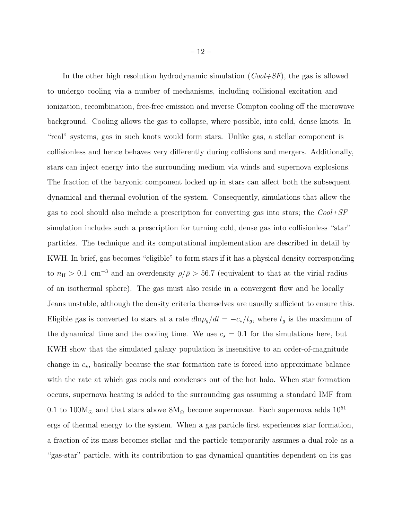In the other high resolution hydrodynamic simulation ( $Cool+SF$ ), the gas is allowed to undergo cooling via a number of mechanisms, including collisional excitation and ionization, recombination, free-free emission and inverse Compton cooling off the microwave background. Cooling allows the gas to collapse, where possible, into cold, dense knots. In "real" systems, gas in such knots would form stars. Unlike gas, a stellar component is collisionless and hence behaves very differently during collisions and mergers. Additionally, stars can inject energy into the surrounding medium via winds and supernova explosions. The fraction of the baryonic component locked up in stars can affect both the subsequent dynamical and thermal evolution of the system. Consequently, simulations that allow the gas to cool should also include a prescription for converting gas into stars; the  $Cool+SF$ simulation includes such a prescription for turning cold, dense gas into collisionless "star" particles. The technique and its computational implementation are described in detail by KWH. In brief, gas becomes "eligible" to form stars if it has a physical density corresponding to  $n_{\rm H} > 0.1\,$  cm<sup>-3</sup> and an overdensity  $\rho/\bar{\rho} > 56.7$  (equivalent to that at the virial radius of an isothermal sphere). The gas must also reside in a convergent flow and be locally Jeans unstable, although the density criteria themselves are usually sufficient to ensure this. Eligible gas is converted to stars at a rate  $d\ln\rho_g/dt = -c_\star/t_g$ , where  $t_g$  is the maximum of the dynamical time and the cooling time. We use  $c_{\star} = 0.1$  for the simulations here, but KWH show that the simulated galaxy population is insensitive to an order-of-magnitude change in  $c_{\star}$ , basically because the star formation rate is forced into approximate balance with the rate at which gas cools and condenses out of the hot halo. When star formation occurs, supernova heating is added to the surrounding gas assuming a standard IMF from 0.1 to  $100M_{\odot}$  and that stars above  $8M_{\odot}$  become supernovae. Each supernova adds  $10^{51}$ ergs of thermal energy to the system. When a gas particle first experiences star formation, a fraction of its mass becomes stellar and the particle temporarily assumes a dual role as a "gas-star" particle, with its contribution to gas dynamical quantities dependent on its gas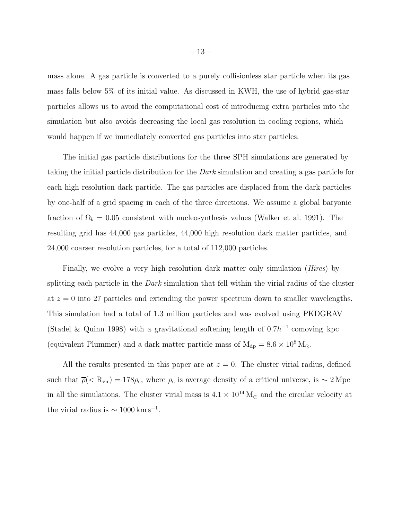mass alone. A gas particle is converted to a purely collisionless star particle when its gas mass falls below 5% of its initial value. As discussed in KWH, the use of hybrid gas-star particles allows us to avoid the computational cost of introducing extra particles into the simulation but also avoids decreasing the local gas resolution in cooling regions, which would happen if we immediately converted gas particles into star particles.

The initial gas particle distributions for the three SPH simulations are generated by taking the initial particle distribution for the Dark simulation and creating a gas particle for each high resolution dark particle. The gas particles are displaced from the dark particles by one-half of a grid spacing in each of the three directions. We assume a global baryonic fraction of  $\Omega_b = 0.05$  consistent with nucleosynthesis values (Walker et al. 1991). The resulting grid has 44,000 gas particles, 44,000 high resolution dark matter particles, and 24,000 coarser resolution particles, for a total of 112,000 particles.

Finally, we evolve a very high resolution dark matter only simulation (Hires) by splitting each particle in the *Dark* simulation that fell within the virial radius of the cluster at  $z = 0$  into 27 particles and extending the power spectrum down to smaller wavelengths. This simulation had a total of 1.3 million particles and was evolved using PKDGRAV (Stadel & Quinn 1998) with a gravitational softening length of  $0.7h^{-1}$  comoving kpc (equivalent Plummer) and a dark matter particle mass of  $\rm M_{dp}=8.6\times10^{8}\,M_{\odot}.$ 

All the results presented in this paper are at  $z = 0$ . The cluster virial radius, defined such that  $\bar{\rho}$ (< R<sub>vir</sub>) = 178 $\rho_c$ , where  $\rho_c$  is average density of a critical universe, is ~ 2 Mpc in all the simulations. The cluster virial mass is  $4.1 \times 10^{14} M_{\odot}$  and the circular velocity at the virial radius is  $\sim 1000 \,\mathrm{km \, s^{-1}}$ .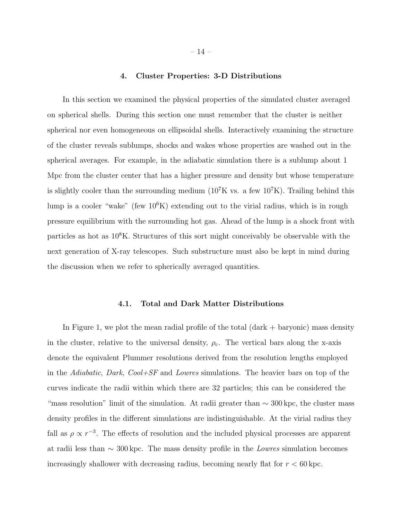#### 4. Cluster Properties: 3-D Distributions

In this section we examined the physical properties of the simulated cluster averaged on spherical shells. During this section one must remember that the cluster is neither spherical nor even homogeneous on ellipsoidal shells. Interactively examining the structure of the cluster reveals sublumps, shocks and wakes whose properties are washed out in the spherical averages. For example, in the adiabatic simulation there is a sublump about 1 Mpc from the cluster center that has a higher pressure and density but whose temperature is slightly cooler than the surrounding medium  $(10<sup>7</sup>K$  vs. a few  $10<sup>7</sup>K$ ). Trailing behind this lump is a cooler "wake" (few  $10^6$ K) extending out to the virial radius, which is in rough pressure equilibrium with the surrounding hot gas. Ahead of the lump is a shock front with particles as hot as  $10<sup>8</sup>K$ . Structures of this sort might conceivably be observable with the next generation of X-ray telescopes. Such substructure must also be kept in mind during the discussion when we refer to spherically averaged quantities.

#### 4.1. Total and Dark Matter Distributions

In Figure 1, we plot the mean radial profile of the total (dark + baryonic) mass density in the cluster, relative to the universal density,  $\rho_c$ . The vertical bars along the x-axis denote the equivalent Plummer resolutions derived from the resolution lengths employed in the Adiabatic, Dark, Cool+SF and Lowres simulations. The heavier bars on top of the curves indicate the radii within which there are 32 particles; this can be considered the "mass resolution" limit of the simulation. At radii greater than  $\sim$  300 kpc, the cluster mass density profiles in the different simulations are indistinguishable. At the virial radius they fall as  $\rho \propto r^{-3}$ . The effects of resolution and the included physical processes are apparent at radii less than ∼ 300 kpc. The mass density profile in the Lowres simulation becomes increasingly shallower with decreasing radius, becoming nearly flat for  $r < 60$  kpc.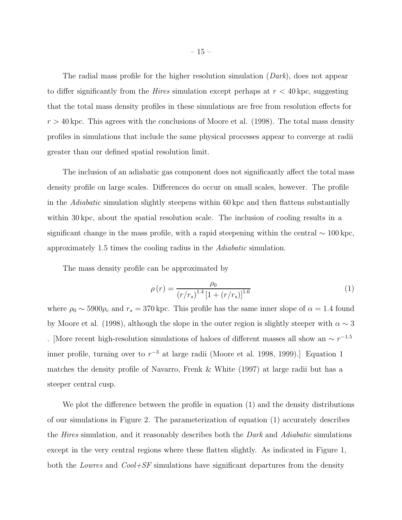The radial mass profile for the higher resolution simulation  $(Dark)$ , does not appear to differ significantly from the *Hires* simulation except perhaps at  $r < 40$  kpc, suggesting that the total mass density profiles in these simulations are free from resolution effects for  $r > 40$  kpc. This agrees with the conclusions of Moore et al. (1998). The total mass density profiles in simulations that include the same physical processes appear to converge at radii greater than our defined spatial resolution limit.

The inclusion of an adiabatic gas component does not significantly affect the total mass density profile on large scales. Differences do occur on small scales, however. The profile in the Adiabatic simulation slightly steepens within 60 kpc and then flattens substantially within 30 kpc, about the spatial resolution scale. The inclusion of cooling results in a significant change in the mass profile, with a rapid steepening within the central  $\sim 100$  kpc, approximately 1.5 times the cooling radius in the Adiabatic simulation.

The mass density profile can be approximated by

$$
\rho(r) = \frac{\rho_0}{(r/r_s)^{1.4} \left[1 + (r/r_s)\right]^{1.6}}
$$
\n(1)

where  $\rho_0 \sim 5900\rho_c$  and  $r_s = 370$  kpc. This profile has the same inner slope of  $\alpha = 1.4$  found by Moore et al. (1998), although the slope in the outer region is slightly steeper with  $\alpha \sim 3$ . [More recent high-resolution simulations of haloes of different masses all show an  $\sim r^{-1.5}$ inner profile, turning over to  $r^{-3}$  at large radii (Moore et al. 1998, 1999).] Equation 1 matches the density profile of Navarro, Frenk & White (1997) at large radii but has a steeper central cusp.

We plot the difference between the profile in equation (1) and the density distributions of our simulations in Figure 2. The parameterization of equation (1) accurately describes the *Hires* simulation, and it reasonably describes both the *Dark* and *Adiabatic* simulations except in the very central regions where these flatten slightly. As indicated in Figure 1, both the Lowres and  $Cool+SF$  simulations have significant departures from the density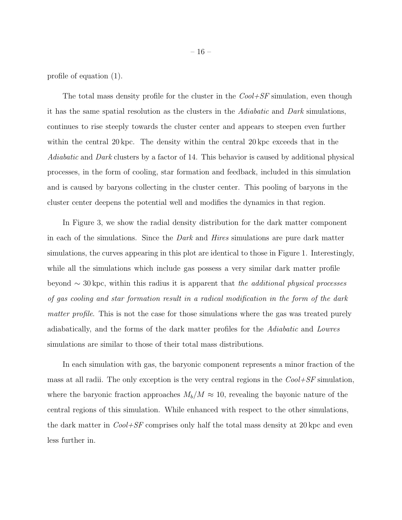profile of equation (1).

The total mass density profile for the cluster in the  $Cool+SF$  simulation, even though it has the same spatial resolution as the clusters in the Adiabatic and Dark simulations, continues to rise steeply towards the cluster center and appears to steepen even further within the central 20 kpc. The density within the central 20 kpc exceeds that in the Adiabatic and Dark clusters by a factor of 14. This behavior is caused by additional physical processes, in the form of cooling, star formation and feedback, included in this simulation and is caused by baryons collecting in the cluster center. This pooling of baryons in the cluster center deepens the potential well and modifies the dynamics in that region.

In Figure 3, we show the radial density distribution for the dark matter component in each of the simulations. Since the Dark and Hires simulations are pure dark matter simulations, the curves appearing in this plot are identical to those in Figure 1. Interestingly, while all the simulations which include gas possess a very similar dark matter profile beyond  $\sim$  30 kpc, within this radius it is apparent that the additional physical processes of gas cooling and star formation result in a radical modification in the form of the dark matter profile. This is not the case for those simulations where the gas was treated purely adiabatically, and the forms of the dark matter profiles for the Adiabatic and Lowres simulations are similar to those of their total mass distributions.

In each simulation with gas, the baryonic component represents a minor fraction of the mass at all radii. The only exception is the very central regions in the  $Cool+SF$  simulation, where the baryonic fraction approaches  $M_b/M \approx 10$ , revealing the bayonic nature of the central regions of this simulation. While enhanced with respect to the other simulations, the dark matter in  $Cool+SF$  comprises only half the total mass density at 20 kpc and even less further in.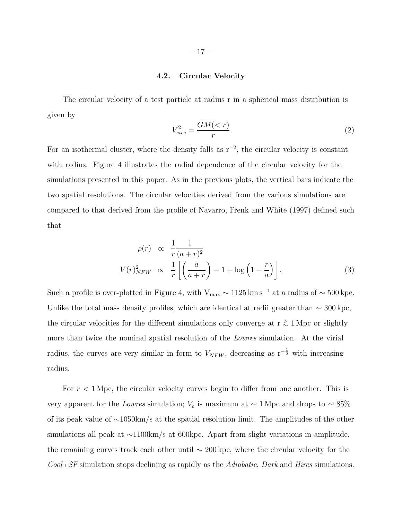#### 4.2. Circular Velocity

The circular velocity of a test particle at radius r in a spherical mass distribution is given by

$$
V_{circ}^2 = \frac{GM(
$$

For an isothermal cluster, where the density falls as  $r^{-2}$ , the circular velocity is constant with radius. Figure 4 illustrates the radial dependence of the circular velocity for the simulations presented in this paper. As in the previous plots, the vertical bars indicate the two spatial resolutions. The circular velocities derived from the various simulations are compared to that derived from the profile of Navarro, Frenk and White (1997) defined such that

$$
\rho(r) \propto \frac{1}{r} \frac{1}{(a+r)^2}
$$
  

$$
V(r)_{NFW}^2 \propto \frac{1}{r} \left[ \left( \frac{a}{a+r} \right) - 1 + \log \left( 1 + \frac{r}{a} \right) \right].
$$
 (3)

Such a profile is over-plotted in Figure 4, with  $V_{\text{max}} \sim 1125 \text{ km s}^{-1}$  at a radius of  $\sim 500 \text{ kpc}$ . Unlike the total mass density profiles, which are identical at radii greater than  $\sim 300 \,\text{kpc}$ , the circular velocities for the different simulations only converge at r  $\gtrsim 1$  Mpc or slightly more than twice the nominal spatial resolution of the *Lowres* simulation. At the virial radius, the curves are very similar in form to  $V_{NFW}$ , decreasing as r<sup>- $\frac{1}{2}$ </sup> with increasing radius.

For  $r < 1$  Mpc, the circular velocity curves begin to differ from one another. This is very apparent for the Lowres simulation;  $V_c$  is maximum at  $\sim 1$  Mpc and drops to  $\sim 85\%$ of its peak value of ∼1050km/s at the spatial resolution limit. The amplitudes of the other simulations all peak at ∼1100km/s at 600kpc. Apart from slight variations in amplitude, the remaining curves track each other until ∼ 200 kpc, where the circular velocity for the  $Cool+SF$  simulation stops declining as rapidly as the Adiabatic, Dark and Hires simulations.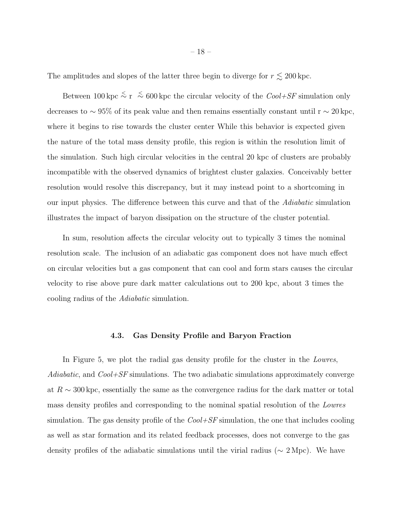The amplitudes and slopes of the latter three begin to diverge for  $r \lesssim 200$  kpc.

Between 100 kpc  $\leq r \leq 600$  kpc the circular velocity of the  $Cool+SF$  simulation only decreases to  $\sim$  95% of its peak value and then remains essentially constant until r  $\sim$  20 kpc, where it begins to rise towards the cluster center While this behavior is expected given the nature of the total mass density profile, this region is within the resolution limit of the simulation. Such high circular velocities in the central 20 kpc of clusters are probably incompatible with the observed dynamics of brightest cluster galaxies. Conceivably better resolution would resolve this discrepancy, but it may instead point to a shortcoming in our input physics. The difference between this curve and that of the Adiabatic simulation illustrates the impact of baryon dissipation on the structure of the cluster potential.

In sum, resolution affects the circular velocity out to typically 3 times the nominal resolution scale. The inclusion of an adiabatic gas component does not have much effect on circular velocities but a gas component that can cool and form stars causes the circular velocity to rise above pure dark matter calculations out to 200 kpc, about 3 times the cooling radius of the Adiabatic simulation.

#### 4.3. Gas Density Profile and Baryon Fraction

In Figure 5, we plot the radial gas density profile for the cluster in the *Lowres*,  $Adiabatic$ , and  $Cool+SF$  simulations. The two adiabatic simulations approximately converge at  $R \sim 300$  kpc, essentially the same as the convergence radius for the dark matter or total mass density profiles and corresponding to the nominal spatial resolution of the Lowres simulation. The gas density profile of the  $Cool+SF$  simulation, the one that includes cooling as well as star formation and its related feedback processes, does not converge to the gas density profiles of the adiabatic simulations until the virial radius ( $\sim 2 \text{ Mpc}$ ). We have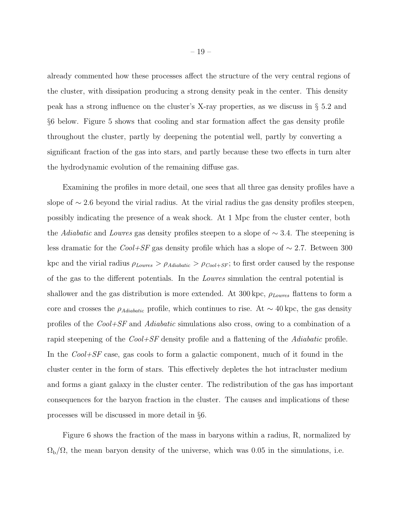already commented how these processes affect the structure of the very central regions of the cluster, with dissipation producing a strong density peak in the center. This density peak has a strong influence on the cluster's X-ray properties, as we discuss in § 5.2 and §6 below. Figure 5 shows that cooling and star formation affect the gas density profile throughout the cluster, partly by deepening the potential well, partly by converting a significant fraction of the gas into stars, and partly because these two effects in turn alter the hydrodynamic evolution of the remaining diffuse gas.

Examining the profiles in more detail, one sees that all three gas density profiles have a slope of  $\sim$  2.6 beyond the virial radius. At the virial radius the gas density profiles steepen, possibly indicating the presence of a weak shock. At 1 Mpc from the cluster center, both the Adiabatic and Lowres gas density profiles steepen to a slope of  $\sim$  3.4. The steepening is less dramatic for the  $Cool+SF$  gas density profile which has a slope of ~ 2.7. Between 300 kpc and the virial radius  $\rho_{Lowres} > \rho_{Adiabatic} > \rho_{Cool+SF}$ ; to first order caused by the response of the gas to the different potentials. In the Lowres simulation the central potential is shallower and the gas distribution is more extended. At  $300 \,\text{kpc}$ ,  $\rho_{Lowers}$  flattens to form a core and crosses the  $\rho_{Adiabatic}$  profile, which continues to rise. At ~ 40 kpc, the gas density profiles of the  $Cool+SF$  and Adiabatic simulations also cross, owing to a combination of a rapid steepening of the Cool+SF density profile and a flattening of the Adiabatic profile. In the  $Cool+SF$  case, gas cools to form a galactic component, much of it found in the cluster center in the form of stars. This effectively depletes the hot intracluster medium and forms a giant galaxy in the cluster center. The redistribution of the gas has important consequences for the baryon fraction in the cluster. The causes and implications of these processes will be discussed in more detail in §6.

Figure 6 shows the fraction of the mass in baryons within a radius, R, normalized by  $\Omega_{\rm b}/\Omega$ , the mean baryon density of the universe, which was 0.05 in the simulations, i.e.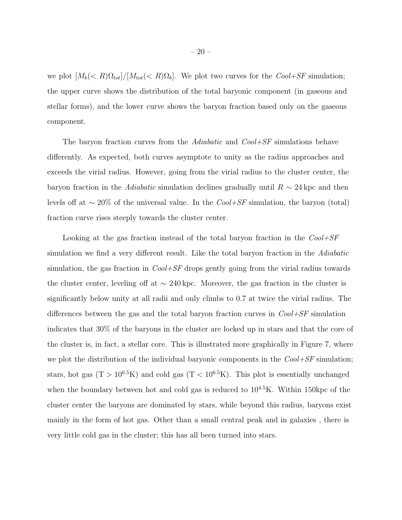we plot  $[M_b(< R)\Omega_{tot}]/[M_{tot}(< R)\Omega_b]$ . We plot two curves for the Cool+SF simulation; the upper curve shows the distribution of the total baryonic component (in gaseous and stellar forms), and the lower curve shows the baryon fraction based only on the gaseous component.

The baryon fraction curves from the  $Adiabatic$  and  $Cool+SF$  simulations behave differently. As expected, both curves asymptote to unity as the radius approaches and exceeds the virial radius. However, going from the virial radius to the cluster center, the baryon fraction in the Adiabatic simulation declines gradually until  $R \sim 24$  kpc and then levels off at  $∼ 20\%$  of the universal value. In the  $Cool+SF$  simulation, the baryon (total) fraction curve rises steeply towards the cluster center.

Looking at the gas fraction instead of the total baryon fraction in the  $Cool+SF$ simulation we find a very different result. Like the total baryon fraction in the Adiabatic simulation, the gas fraction in  $Cool+SF$  drops gently going from the virial radius towards the cluster center, leveling off at ∼ 240 kpc. Moreover, the gas fraction in the cluster is significantly below unity at all radii and only climbs to 0.7 at twice the virial radius. The differences between the gas and the total baryon fraction curves in  $Cool+SF$  simulation indicates that 30% of the baryons in the cluster are locked up in stars and that the core of the cluster is, in fact, a stellar core. This is illustrated more graphically in Figure 7, where we plot the distribution of the individual baryonic components in the  $Cool+SF$  simulation; stars, hot gas  $(T > 10^{6.5} K)$  and cold gas  $(T < 10^{6.5} K)$ . This plot is essentially unchanged when the boundary between hot and cold gas is reduced to  $10^{4.5}$ K. Within 150kpc of the cluster center the baryons are dominated by stars, while beyond this radius, baryons exist mainly in the form of hot gas. Other than a small central peak and in galaxies , there is very little cold gas in the cluster; this has all been turned into stars.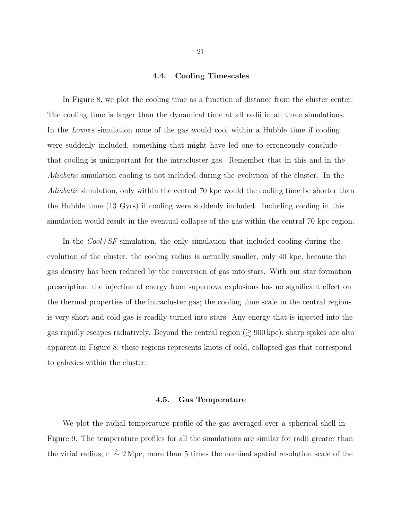#### 4.4. Cooling Timescales

In Figure 8, we plot the cooling time as a function of distance from the cluster center. The cooling time is larger than the dynamical time at all radii in all three simulations. In the Lowres simulation none of the gas would cool within a Hubble time if cooling were suddenly included, something that might have led one to erroneously conclude that cooling is unimportant for the intracluster gas. Remember that in this and in the Adiabatic simulation cooling is not included during the evolution of the cluster. In the Adiabatic simulation, only within the central 70 kpc would the cooling time be shorter than the Hubble time (13 Gyrs) if cooling were suddenly included. Including cooling in this simulation would result in the eventual collapse of the gas within the central 70 kpc region.

In the  $Cool+SF$  simulation, the only simulation that included cooling during the evolution of the cluster, the cooling radius is actually smaller, only 40 kpc, because the gas density has been reduced by the conversion of gas into stars. With our star formation prescription, the injection of energy from supernova explosions has no significant effect on the thermal properties of the intracluster gas; the cooling time scale in the central regions is very short and cold gas is readily turned into stars. Any energy that is injected into the gas rapidly escapes radiatively. Beyond the central region  $(\gtrsim 900 \,\text{kpc})$ , sharp spikes are also apparent in Figure 8; these regions represents knots of cold, collapsed gas that correspond to galaxies within the cluster.

#### 4.5. Gas Temperature

We plot the radial temperature profile of the gas averaged over a spherical shell in Figure 9. The temperature profiles for all the simulations are similar for radii greater than the virial radius, r  $\approx$  2 Mpc, more than 5 times the nominal spatial resolution scale of the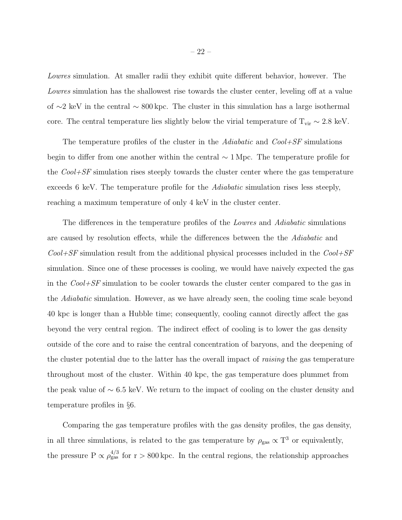Lowres simulation. At smaller radii they exhibit quite different behavior, however. The Lowres simulation has the shallowest rise towards the cluster center, leveling off at a value of ∼2 keV in the central ∼ 800 kpc. The cluster in this simulation has a large isothermal core. The central temperature lies slightly below the virial temperature of  $T_{\rm vir} \sim 2.8 \text{ keV}$ .

The temperature profiles of the cluster in the *Adiabatic* and  $Cool+SF$  simulations begin to differ from one another within the central ∼ 1 Mpc. The temperature profile for the  $Cool+SF$  simulation rises steeply towards the cluster center where the gas temperature exceeds 6 keV. The temperature profile for the Adiabatic simulation rises less steeply, reaching a maximum temperature of only 4 keV in the cluster center.

The differences in the temperature profiles of the *Lowres* and *Adiabatic* simulations are caused by resolution effects, while the differences between the the Adiabatic and  $Cool+SF$  simulation result from the additional physical processes included in the  $Cool+SF$ simulation. Since one of these processes is cooling, we would have naively expected the gas in the  $Cool+SF$  simulation to be cooler towards the cluster center compared to the gas in the Adiabatic simulation. However, as we have already seen, the cooling time scale beyond 40 kpc is longer than a Hubble time; consequently, cooling cannot directly affect the gas beyond the very central region. The indirect effect of cooling is to lower the gas density outside of the core and to raise the central concentration of baryons, and the deepening of the cluster potential due to the latter has the overall impact of *raising* the gas temperature throughout most of the cluster. Within 40 kpc, the gas temperature does plummet from the peak value of ∼ 6.5 keV. We return to the impact of cooling on the cluster density and temperature profiles in §6.

Comparing the gas temperature profiles with the gas density profiles, the gas density, in all three simulations, is related to the gas temperature by  $\rho_{\rm gas} \propto T^3$  or equivalently, the pressure  $P \propto \rho_{\text{gas}}^{4/3}$  for  $r > 800 \text{ kpc}$ . In the central regions, the relationship approaches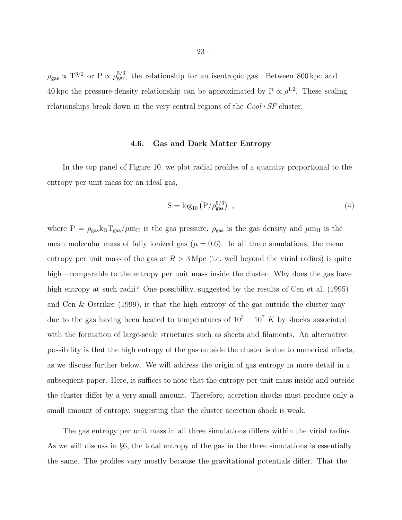$\rho_{\rm gas} \propto T^{3/2}$  or P  $\propto \rho_{\rm gas}^{5/3}$ , the relationship for an isentropic gas. Between 800 kpc and 40 kpc the pressure-density relationship can be approximated by  $P \propto \rho^{1.2}$ . These scaling relationships break down in the very central regions of the  $Cool+SF$  cluster.

#### 4.6. Gas and Dark Matter Entropy

In the top panel of Figure 10, we plot radial profiles of a quantity proportional to the entropy per unit mass for an ideal gas,

$$
S = \log_{10} \left( P / \rho_{gas}^{5/3} \right) , \qquad (4)
$$

where  $P = \rho_{gas} k_B T_{gas} / \mu m_H$  is the gas pressure,  $\rho_{gas}$  is the gas density and  $\mu m_H$  is the mean molecular mass of fully ionized gas ( $\mu = 0.6$ ). In all three simulations, the mean entropy per unit mass of the gas at  $R > 3$  Mpc (i.e. well beyond the virial radius) is quite high—comparable to the entropy per unit mass inside the cluster. Why does the gas have high entropy at such radii? One possibility, suggested by the results of Cen et al. (1995) and Cen & Ostriker  $(1999)$ , is that the high entropy of the gas outside the cluster may due to the gas having been heated to temperatures of  $10^5 - 10^7 K$  by shocks associated with the formation of large-scale structures such as sheets and filaments. An alternative possibility is that the high entropy of the gas outside the cluster is due to numerical effects, as we discuss further below. We will address the origin of gas entropy in more detail in a subsequent paper. Here, it suffices to note that the entropy per unit mass inside and outside the cluster differ by a very small amount. Therefore, accretion shocks must produce only a small amount of entropy, suggesting that the cluster accretion shock is weak.

The gas entropy per unit mass in all three simulations differs within the virial radius. As we will discuss in §6, the total entropy of the gas in the three simulations is essentially the same. The profiles vary mostly because the gravitational potentials differ. That the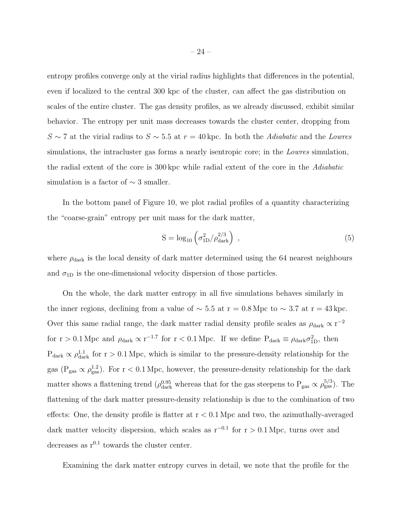entropy profiles converge only at the virial radius highlights that differences in the potential, even if localized to the central 300 kpc of the cluster, can affect the gas distribution on scales of the entire cluster. The gas density profiles, as we already discussed, exhibit similar behavior. The entropy per unit mass decreases towards the cluster center, dropping from S ∼ 7 at the virial radius to  $S \sim 5.5$  at  $r = 40$  kpc. In both the Adiabatic and the Lowres simulations, the intracluster gas forms a nearly isentropic core; in the Lowres simulation, the radial extent of the core is 300 kpc while radial extent of the core in the Adiabatic simulation is a factor of  $\sim$  3 smaller.

In the bottom panel of Figure 10, we plot radial profiles of a quantity characterizing the "coarse-grain" entropy per unit mass for the dark matter,

$$
S = \log_{10} \left( \sigma_{1D}^2 / \rho_{\text{dark}}^{2/3} \right) \tag{5}
$$

where  $\rho_{\text{dark}}$  is the local density of dark matter determined using the 64 nearest neighbours and  $\sigma_{1D}$  is the one-dimensional velocity dispersion of those particles.

On the whole, the dark matter entropy in all five simulations behaves similarly in the inner regions, declining from a value of  $\sim$  5.5 at r = 0.8 Mpc to  $\sim$  3.7 at r = 43 kpc. Over this same radial range, the dark matter radial density profile scales as  $\rho_{\text{dark}} \propto r^{-2}$ for  $r > 0.1$  Mpc and  $\rho_{dark} \propto r^{-1.7}$  for  $r < 0.1$  Mpc. If we define  $P_{dark} \equiv \rho_{dark} \sigma_{1D}^2$ , then  $P_{dark} \propto \rho_{dark}^{1.1}$  for  $r > 0.1$  Mpc, which is similar to the pressure-density relationship for the gas ( $P_{gas} \propto \rho_{gas}^{1.2}$ ). For  $r < 0.1$  Mpc, however, the pressure-density relationship for the dark matter shows a flattening trend ( $\rho_{\text{dark}}^{0.95}$  whereas that for the gas steepens to  $P_{\text{gas}} \propto \rho_{\text{gas}}^{5/3}$ ). The flattening of the dark matter pressure-density relationship is due to the combination of two effects: One, the density profile is flatter at  $r < 0.1$  Mpc and two, the azimuthally-averaged dark matter velocity dispersion, which scales as  $r^{-0.1}$  for  $r > 0.1$  Mpc, turns over and decreases as  $r^{0.1}$  towards the cluster center.

Examining the dark matter entropy curves in detail, we note that the profile for the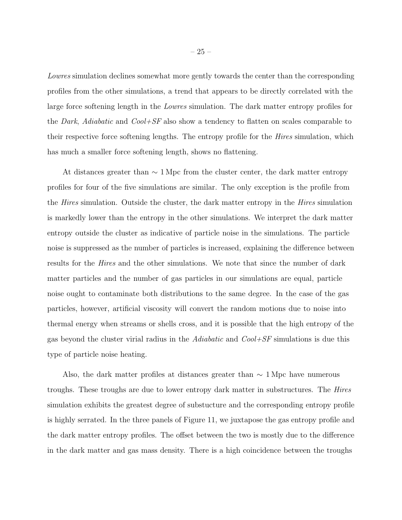Lowres simulation declines somewhat more gently towards the center than the corresponding profiles from the other simulations, a trend that appears to be directly correlated with the large force softening length in the Lowres simulation. The dark matter entropy profiles for the Dark, Adiabatic and  $Cool+SF$  also show a tendency to flatten on scales comparable to their respective force softening lengths. The entropy profile for the Hires simulation, which has much a smaller force softening length, shows no flattening.

At distances greater than  $\sim 1$  Mpc from the cluster center, the dark matter entropy profiles for four of the five simulations are similar. The only exception is the profile from the Hires simulation. Outside the cluster, the dark matter entropy in the Hires simulation is markedly lower than the entropy in the other simulations. We interpret the dark matter entropy outside the cluster as indicative of particle noise in the simulations. The particle noise is suppressed as the number of particles is increased, explaining the difference between results for the Hires and the other simulations. We note that since the number of dark matter particles and the number of gas particles in our simulations are equal, particle noise ought to contaminate both distributions to the same degree. In the case of the gas particles, however, artificial viscosity will convert the random motions due to noise into thermal energy when streams or shells cross, and it is possible that the high entropy of the gas beyond the cluster virial radius in the *Adiabatic* and  $Cool+SF$  simulations is due this type of particle noise heating.

Also, the dark matter profiles at distances greater than  $\sim 1$  Mpc have numerous troughs. These troughs are due to lower entropy dark matter in substructures. The Hires simulation exhibits the greatest degree of substucture and the corresponding entropy profile is highly serrated. In the three panels of Figure 11, we juxtapose the gas entropy profile and the dark matter entropy profiles. The offset between the two is mostly due to the difference in the dark matter and gas mass density. There is a high coincidence between the troughs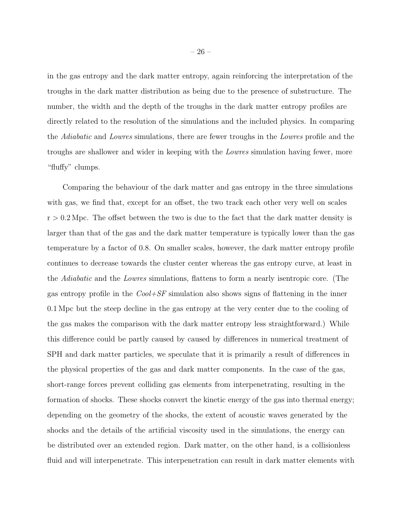in the gas entropy and the dark matter entropy, again reinforcing the interpretation of the troughs in the dark matter distribution as being due to the presence of substructure. The number, the width and the depth of the troughs in the dark matter entropy profiles are directly related to the resolution of the simulations and the included physics. In comparing the Adiabatic and Lowres simulations, there are fewer troughs in the Lowres profile and the troughs are shallower and wider in keeping with the Lowres simulation having fewer, more "fluffy" clumps.

Comparing the behaviour of the dark matter and gas entropy in the three simulations with gas, we find that, except for an offset, the two track each other very well on scales  $r > 0.2$  Mpc. The offset between the two is due to the fact that the dark matter density is larger than that of the gas and the dark matter temperature is typically lower than the gas temperature by a factor of 0.8. On smaller scales, however, the dark matter entropy profile continues to decrease towards the cluster center whereas the gas entropy curve, at least in the Adiabatic and the Lowres simulations, flattens to form a nearly isentropic core. (The gas entropy profile in the  $Cool+SF$  simulation also shows signs of flattening in the inner 0.1 Mpc but the steep decline in the gas entropy at the very center due to the cooling of the gas makes the comparison with the dark matter entropy less straightforward.) While this difference could be partly caused by caused by differences in numerical treatment of SPH and dark matter particles, we speculate that it is primarily a result of differences in the physical properties of the gas and dark matter components. In the case of the gas, short-range forces prevent colliding gas elements from interpenetrating, resulting in the formation of shocks. These shocks convert the kinetic energy of the gas into thermal energy; depending on the geometry of the shocks, the extent of acoustic waves generated by the shocks and the details of the artificial viscosity used in the simulations, the energy can be distributed over an extended region. Dark matter, on the other hand, is a collisionless fluid and will interpenetrate. This interpenetration can result in dark matter elements with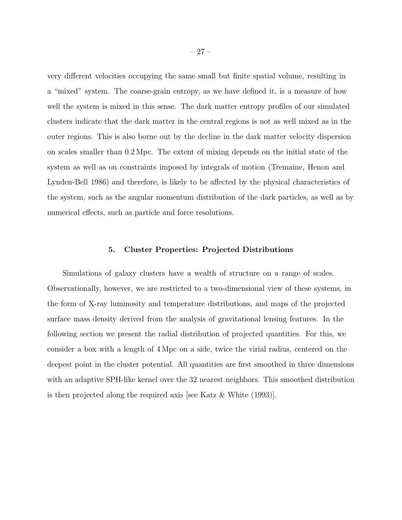very different velocities occupying the same small but finite spatial volume, resulting in a "mixed" system. The coarse-grain entropy, as we have defined it, is a measure of how well the system is mixed in this sense. The dark matter entropy profiles of our simulated clusters indicate that the dark matter in the central regions is not as well mixed as in the outer regions. This is also borne out by the decline in the dark matter velocity dispersion on scales smaller than 0.2 Mpc. The extent of mixing depends on the initial state of the system as well as on constraints imposed by integrals of motion (Tremaine, Henon and Lynden-Bell 1986) and therefore, is likely to be affected by the physical characteristics of the system, such as the angular momentum distribution of the dark particles, as well as by numerical effects, such as particle and force resolutions.

#### 5. Cluster Properties: Projected Distributions

Simulations of galaxy clusters have a wealth of structure on a range of scales. Observationally, however, we are restricted to a two-dimensional view of these systems, in the form of X-ray luminosity and temperature distributions, and maps of the projected surface mass density derived from the analysis of gravitational lensing features. In the following section we present the radial distribution of projected quantities. For this, we consider a box with a length of 4 Mpc on a side, twice the virial radius, centered on the deepest point in the cluster potential. All quantities are first smoothed in three dimensions with an adaptive SPH-like kernel over the 32 nearest neighbors. This smoothed distribution is then projected along the required axis [see Katz & White (1993)].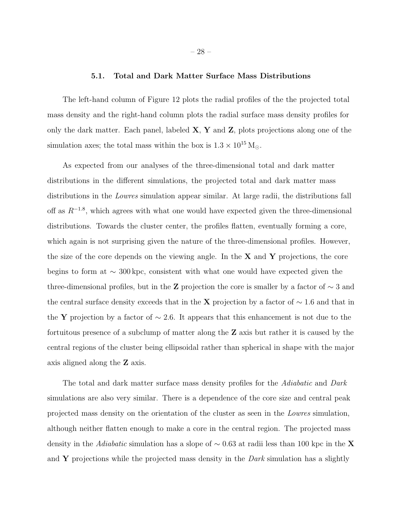#### 5.1. Total and Dark Matter Surface Mass Distributions

The left-hand column of Figure 12 plots the radial profiles of the the projected total mass density and the right-hand column plots the radial surface mass density profiles for only the dark matter. Each panel, labeled  $X, Y$  and  $Z$ , plots projections along one of the simulation axes; the total mass within the box is  $1.3 \times 10^{15}$  M<sub>☉</sub>.

As expected from our analyses of the three-dimensional total and dark matter distributions in the different simulations, the projected total and dark matter mass distributions in the Lowres simulation appear similar. At large radii, the distributions fall off as  $R^{-1.8}$ , which agrees with what one would have expected given the three-dimensional distributions. Towards the cluster center, the profiles flatten, eventually forming a core, which again is not surprising given the nature of the three-dimensional profiles. However, the size of the core depends on the viewing angle. In the  $X$  and  $Y$  projections, the core begins to form at ∼ 300 kpc, consistent with what one would have expected given the three-dimensional profiles, but in the **Z** projection the core is smaller by a factor of  $\sim$  3 and the central surface density exceeds that in the X projection by a factor of  $\sim 1.6$  and that in the Y projection by a factor of  $\sim 2.6$ . It appears that this enhancement is not due to the fortuitous presence of a subclump of matter along the Z axis but rather it is caused by the central regions of the cluster being ellipsoidal rather than spherical in shape with the major axis aligned along the Z axis.

The total and dark matter surface mass density profiles for the *Adiabatic* and Dark simulations are also very similar. There is a dependence of the core size and central peak projected mass density on the orientation of the cluster as seen in the Lowres simulation, although neither flatten enough to make a core in the central region. The projected mass density in the Adiabatic simulation has a slope of  $\sim 0.63$  at radii less than 100 kpc in the X and Y projections while the projected mass density in the *Dark* simulation has a slightly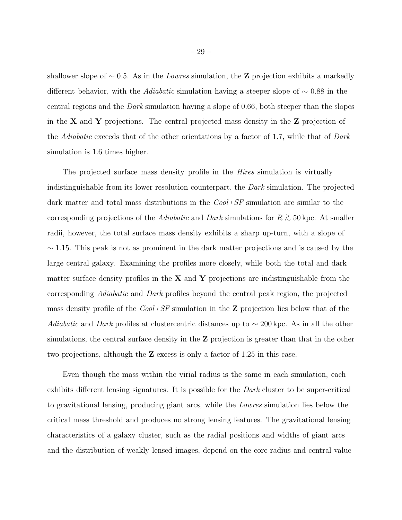shallower slope of  $\sim 0.5$ . As in the *Lowres* simulation, the **Z** projection exhibits a markedly different behavior, with the Adiabatic simulation having a steeper slope of  $\sim 0.88$  in the central regions and the Dark simulation having a slope of 0.66, both steeper than the slopes in the  $X$  and  $Y$  projections. The central projected mass density in the  $Z$  projection of the Adiabatic exceeds that of the other orientations by a factor of 1.7, while that of Dark simulation is 1.6 times higher.

The projected surface mass density profile in the *Hires* simulation is virtually indistinguishable from its lower resolution counterpart, the Dark simulation. The projected dark matter and total mass distributions in the  $Cool+SF$  simulation are similar to the corresponding projections of the Adiabatic and Dark simulations for  $R \gtrsim 50$  kpc. At smaller radii, however, the total surface mass density exhibits a sharp up-turn, with a slope of  $\sim$  1.15. This peak is not as prominent in the dark matter projections and is caused by the large central galaxy. Examining the profiles more closely, while both the total and dark matter surface density profiles in the  $X$  and  $Y$  projections are indistinguishable from the corresponding Adiabatic and Dark profiles beyond the central peak region, the projected mass density profile of the  $Cool+SF$  simulation in the **Z** projection lies below that of the Adiabatic and Dark profiles at clustercentric distances up to  $\sim 200$  kpc. As in all the other simulations, the central surface density in the **Z** projection is greater than that in the other two projections, although the Z excess is only a factor of 1.25 in this case.

Even though the mass within the virial radius is the same in each simulation, each exhibits different lensing signatures. It is possible for the *Dark* cluster to be super-critical to gravitational lensing, producing giant arcs, while the Lowres simulation lies below the critical mass threshold and produces no strong lensing features. The gravitational lensing characteristics of a galaxy cluster, such as the radial positions and widths of giant arcs and the distribution of weakly lensed images, depend on the core radius and central value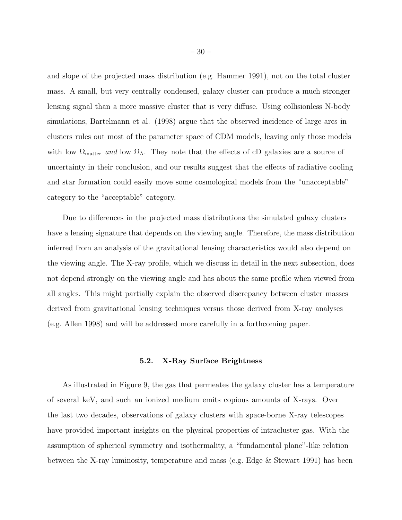and slope of the projected mass distribution (e.g. Hammer 1991), not on the total cluster mass. A small, but very centrally condensed, galaxy cluster can produce a much stronger lensing signal than a more massive cluster that is very diffuse. Using collisionless N-body simulations, Bartelmann et al. (1998) argue that the observed incidence of large arcs in clusters rules out most of the parameter space of CDM models, leaving only those models with low  $\Omega_{\text{matter}}$  and low  $\Omega_{\Lambda}$ . They note that the effects of cD galaxies are a source of uncertainty in their conclusion, and our results suggest that the effects of radiative cooling and star formation could easily move some cosmological models from the "unacceptable" category to the "acceptable" category.

Due to differences in the projected mass distributions the simulated galaxy clusters have a lensing signature that depends on the viewing angle. Therefore, the mass distribution inferred from an analysis of the gravitational lensing characteristics would also depend on the viewing angle. The X-ray profile, which we discuss in detail in the next subsection, does not depend strongly on the viewing angle and has about the same profile when viewed from all angles. This might partially explain the observed discrepancy between cluster masses derived from gravitational lensing techniques versus those derived from X-ray analyses (e.g. Allen 1998) and will be addressed more carefully in a forthcoming paper.

## 5.2. X-Ray Surface Brightness

As illustrated in Figure 9, the gas that permeates the galaxy cluster has a temperature of several keV, and such an ionized medium emits copious amounts of X-rays. Over the last two decades, observations of galaxy clusters with space-borne X-ray telescopes have provided important insights on the physical properties of intracluster gas. With the assumption of spherical symmetry and isothermality, a "fundamental plane"-like relation between the X-ray luminosity, temperature and mass (e.g. Edge & Stewart 1991) has been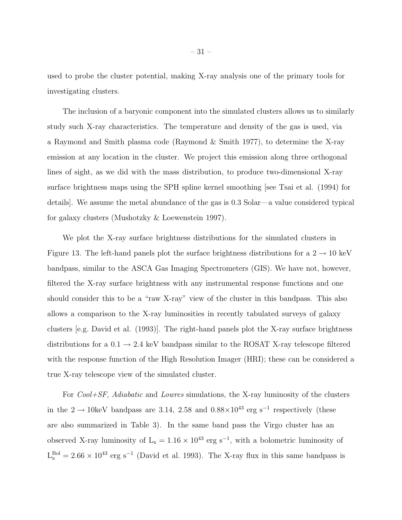used to probe the cluster potential, making X-ray analysis one of the primary tools for investigating clusters.

The inclusion of a baryonic component into the simulated clusters allows us to similarly study such X-ray characteristics. The temperature and density of the gas is used, via a Raymond and Smith plasma code (Raymond & Smith 1977), to determine the X-ray emission at any location in the cluster. We project this emission along three orthogonal lines of sight, as we did with the mass distribution, to produce two-dimensional X-ray surface brightness maps using the SPH spline kernel smoothing [see Tsai et al. (1994) for details]. We assume the metal abundance of the gas is 0.3 Solar—a value considered typical for galaxy clusters (Mushotzky & Loewenstein 1997).

We plot the X-ray surface brightness distributions for the simulated clusters in Figure 13. The left-hand panels plot the surface brightness distributions for a  $2 \rightarrow 10$  keV bandpass, similar to the ASCA Gas Imaging Spectrometers (GIS). We have not, however, filtered the X-ray surface brightness with any instrumental response functions and one should consider this to be a "raw X-ray" view of the cluster in this bandpass. This also allows a comparison to the X-ray luminosities in recently tabulated surveys of galaxy clusters [e.g. David et al. (1993)]. The right-hand panels plot the X-ray surface brightness distributions for a 0.1  $\rightarrow$  2.4 keV bandpass similar to the ROSAT X-ray telescope filtered with the response function of the High Resolution Imager (HRI); these can be considered a true X-ray telescope view of the simulated cluster.

For Cool+SF, Adiabatic and Lowres simulations, the X-ray luminosity of the clusters in the 2 → 10keV bandpass are 3.14, 2.58 and  $0.88 \times 10^{43}$  erg s<sup>-1</sup> respectively (these are also summarized in Table 3). In the same band pass the Virgo cluster has an observed X-ray luminosity of  $L_x = 1.16 \times 10^{43}$  erg s<sup>-1</sup>, with a bolometric luminosity of  $L_{\rm x}^{\rm Bol} = 2.66 \times 10^{43}$  erg s<sup>-1</sup> (David et al. 1993). The X-ray flux in this same bandpass is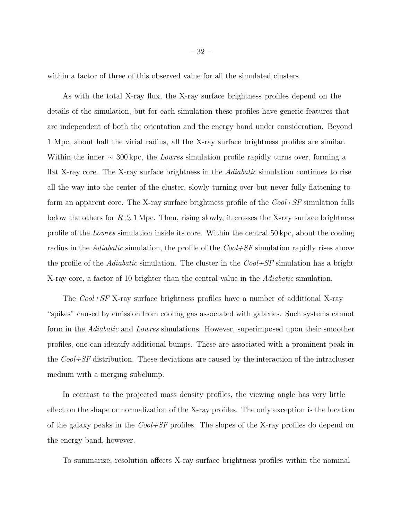within a factor of three of this observed value for all the simulated clusters.

As with the total X-ray flux, the X-ray surface brightness profiles depend on the details of the simulation, but for each simulation these profiles have generic features that are independent of both the orientation and the energy band under consideration. Beyond 1 Mpc, about half the virial radius, all the X-ray surface brightness profiles are similar. Within the inner  $\sim$  300 kpc, the *Lowres* simulation profile rapidly turns over, forming a flat X-ray core. The X-ray surface brightness in the Adiabatic simulation continues to rise all the way into the center of the cluster, slowly turning over but never fully flattening to form an apparent core. The X-ray surface brightness profile of the  $Cool+SF$  simulation falls below the others for  $R \lesssim 1$  Mpc. Then, rising slowly, it crosses the X-ray surface brightness profile of the Lowres simulation inside its core. Within the central 50 kpc, about the cooling radius in the *Adiabatic* simulation, the profile of the  $Cool+SF$  simulation rapidly rises above the profile of the *Adiabatic* simulation. The cluster in the  $Cool+SF$  simulation has a bright X-ray core, a factor of 10 brighter than the central value in the *Adiabatic* simulation.

The  $Cool+SF$  X-ray surface brightness profiles have a number of additional X-ray "spikes" caused by emission from cooling gas associated with galaxies. Such systems cannot form in the *Adiabatic* and *Lowres* simulations. However, superimposed upon their smoother profiles, one can identify additional bumps. These are associated with a prominent peak in the  $Cool+SF$  distribution. These deviations are caused by the interaction of the intracluster medium with a merging subclump.

In contrast to the projected mass density profiles, the viewing angle has very little effect on the shape or normalization of the X-ray profiles. The only exception is the location of the galaxy peaks in the  $Cool+SF$  profiles. The slopes of the X-ray profiles do depend on the energy band, however.

To summarize, resolution affects X-ray surface brightness profiles within the nominal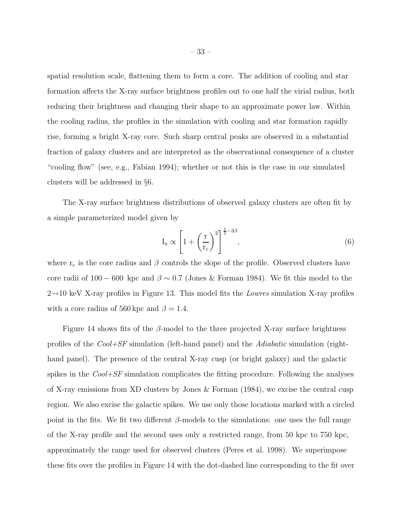spatial resolution scale, flattening them to form a core. The addition of cooling and star formation affects the X-ray surface brightness profiles out to one half the virial radius, both reducing their brightness and changing their shape to an approximate power law. Within the cooling radius, the profiles in the simulation with cooling and star formation rapidly rise, forming a bright X-ray core. Such sharp central peaks are observed in a substantial fraction of galaxy clusters and are interpreted as the observational consequence of a cluster "cooling flow" (see, e.g., Fabian 1994); whether or not this is the case in our simulated clusters will be addressed in §6.

The X-ray surface brightness distributions of observed galaxy clusters are often fit by a simple parameterized model given by

$$
I_x \propto \left[1 + \left(\frac{r}{r_c}\right)^2\right]^{\frac{1}{2} - 3\beta},\tag{6}
$$

where  $r_c$  is the core radius and  $\beta$  controls the slope of the profile. Observed clusters have core radii of  $100 - 600$  kpc and  $\beta \sim 0.7$  (Jones & Forman 1984). We fit this model to the  $2\rightarrow10$  keV X-ray profiles in Figure 13. This model fits the *Lowres* simulation X-ray profiles with a core radius of 560 kpc and  $\beta = 1.4$ .

Figure 14 shows fits of the  $\beta$ -model to the three projected X-ray surface brightness profiles of the Cool+SF simulation (left-hand panel) and the Adiabatic simulation (righthand panel). The presence of the central X-ray cusp (or bright galaxy) and the galactic spikes in the  $Cool+SF$  simulation complicates the fitting procedure. Following the analyses of X-ray emissions from XD clusters by Jones & Forman (1984), we excise the central cusp region. We also excise the galactic spikes. We use only those locations marked with a circled point in the fits. We fit two different  $\beta$ -models to the simulations: one uses the full range of the X-ray profile and the second uses only a restricted range, from 50 kpc to 750 kpc, approximately the range used for observed clusters (Peres et al. 1998). We superimpose these fits over the profiles in Figure 14 with the dot-dashed line corresponding to the fit over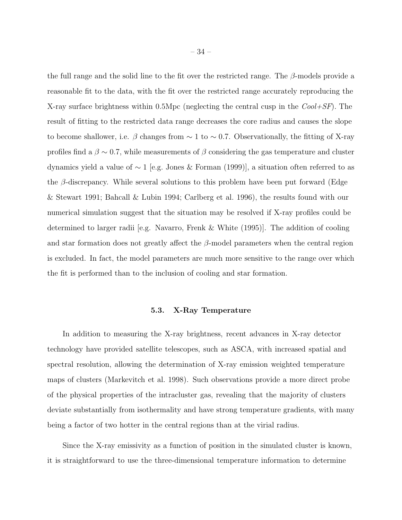the full range and the solid line to the fit over the restricted range. The  $\beta$ -models provide a reasonable fit to the data, with the fit over the restricted range accurately reproducing the X-ray surface brightness within 0.5Mpc (neglecting the central cusp in the  $Cool+SF$ ). The result of fitting to the restricted data range decreases the core radius and causes the slope to become shallower, i.e.  $\beta$  changes from  $\sim 1$  to  $\sim 0.7$ . Observationally, the fitting of X-ray profiles find a  $\beta \sim 0.7$ , while measurements of  $\beta$  considering the gas temperature and cluster dynamics yield a value of ∼ 1 [e.g. Jones & Forman (1999)], a situation often referred to as the  $\beta$ -discrepancy. While several solutions to this problem have been put forward (Edge & Stewart 1991; Bahcall & Lubin 1994; Carlberg et al. 1996), the results found with our numerical simulation suggest that the situation may be resolved if X-ray profiles could be determined to larger radii [e.g. Navarro, Frenk & White (1995)]. The addition of cooling and star formation does not greatly affect the  $\beta$ -model parameters when the central region is excluded. In fact, the model parameters are much more sensitive to the range over which the fit is performed than to the inclusion of cooling and star formation.

#### 5.3. X-Ray Temperature

In addition to measuring the X-ray brightness, recent advances in X-ray detector technology have provided satellite telescopes, such as ASCA, with increased spatial and spectral resolution, allowing the determination of X-ray emission weighted temperature maps of clusters (Markevitch et al. 1998). Such observations provide a more direct probe of the physical properties of the intracluster gas, revealing that the majority of clusters deviate substantially from isothermality and have strong temperature gradients, with many being a factor of two hotter in the central regions than at the virial radius.

Since the X-ray emissivity as a function of position in the simulated cluster is known, it is straightforward to use the three-dimensional temperature information to determine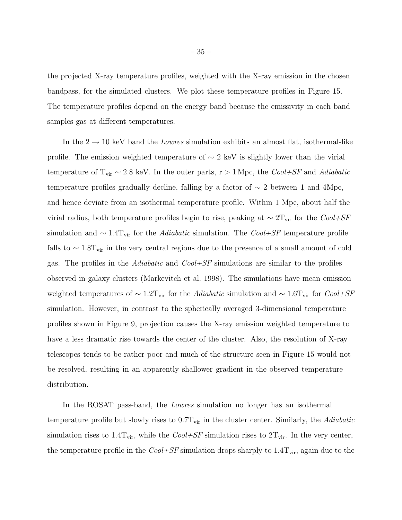the projected X-ray temperature profiles, weighted with the X-ray emission in the chosen bandpass, for the simulated clusters. We plot these temperature profiles in Figure 15. The temperature profiles depend on the energy band because the emissivity in each band samples gas at different temperatures.

In the  $2 \rightarrow 10$  keV band the *Lowres* simulation exhibits an almost flat, isothermal-like profile. The emission weighted temperature of  $\sim 2$  keV is slightly lower than the virial temperature of T<sub>vir</sub> ~ 2.8 keV. In the outer parts, r > 1 Mpc, the Cool+SF and Adiabatic temperature profiles gradually decline, falling by a factor of  $\sim 2$  between 1 and 4Mpc, and hence deviate from an isothermal temperature profile. Within 1 Mpc, about half the virial radius, both temperature profiles begin to rise, peaking at  $\sim 2T_{\text{vir}}$  for the  $Cool+SF$ simulation and  $\sim 1.4$ T<sub>vir</sub> for the *Adiabatic* simulation. The Cool+SF temperature profile falls to  $\sim 1.8$ T<sub>vir</sub> in the very central regions due to the presence of a small amount of cold gas. The profiles in the *Adiabatic* and  $Cool+SF$  simulations are similar to the profiles observed in galaxy clusters (Markevitch et al. 1998). The simulations have mean emission weighted temperatures of  $\sim 1.2$ T<sub>vir</sub> for the Adiabatic simulation and  $\sim 1.6$ T<sub>vir</sub> for Cool+SF simulation. However, in contrast to the spherically averaged 3-dimensional temperature profiles shown in Figure 9, projection causes the X-ray emission weighted temperature to have a less dramatic rise towards the center of the cluster. Also, the resolution of X-ray telescopes tends to be rather poor and much of the structure seen in Figure 15 would not be resolved, resulting in an apparently shallower gradient in the observed temperature distribution.

In the ROSAT pass-band, the Lowres simulation no longer has an isothermal temperature profile but slowly rises to  $0.7T_{\text{vir}}$  in the cluster center. Similarly, the Adiabatic simulation rises to  $1.4T_{\rm vir}$ , while the  $Cool+SF$  simulation rises to  $2T_{\rm vir}$ . In the very center, the temperature profile in the  $Cool+SF$  simulation drops sharply to  $1.4T_{vir}$ , again due to the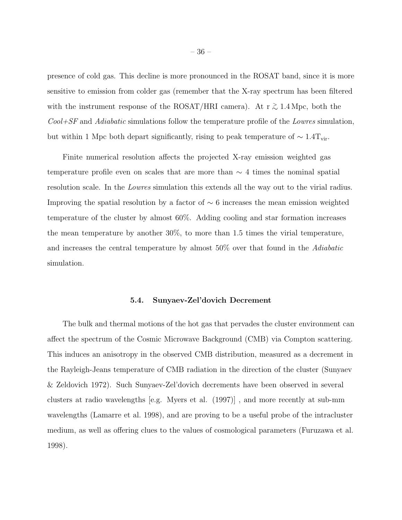presence of cold gas. This decline is more pronounced in the ROSAT band, since it is more sensitive to emission from colder gas (remember that the X-ray spectrum has been filtered with the instrument response of the ROSAT/HRI camera). At r  $\gtrsim 1.4 \text{ Mpc}$ , both the  $Cool+SF$  and Adiabatic simulations follow the temperature profile of the Lowres simulation, but within 1 Mpc both depart significantly, rising to peak temperature of  $\sim 1.4$ T<sub>vir</sub>.

Finite numerical resolution affects the projected X-ray emission weighted gas temperature profile even on scales that are more than  $\sim$  4 times the nominal spatial resolution scale. In the Lowres simulation this extends all the way out to the virial radius. Improving the spatial resolution by a factor of ∼ 6 increases the mean emission weighted temperature of the cluster by almost 60%. Adding cooling and star formation increases the mean temperature by another 30%, to more than 1.5 times the virial temperature, and increases the central temperature by almost 50% over that found in the Adiabatic simulation.

### 5.4. Sunyaev-Zel'dovich Decrement

The bulk and thermal motions of the hot gas that pervades the cluster environment can affect the spectrum of the Cosmic Microwave Background (CMB) via Compton scattering. This induces an anisotropy in the observed CMB distribution, measured as a decrement in the Rayleigh-Jeans temperature of CMB radiation in the direction of the cluster (Sunyaev & Zeldovich 1972). Such Sunyaev-Zel'dovich decrements have been observed in several clusters at radio wavelengths [e.g. Myers et al. (1997)] , and more recently at sub-mm wavelengths (Lamarre et al. 1998), and are proving to be a useful probe of the intracluster medium, as well as offering clues to the values of cosmological parameters (Furuzawa et al. 1998).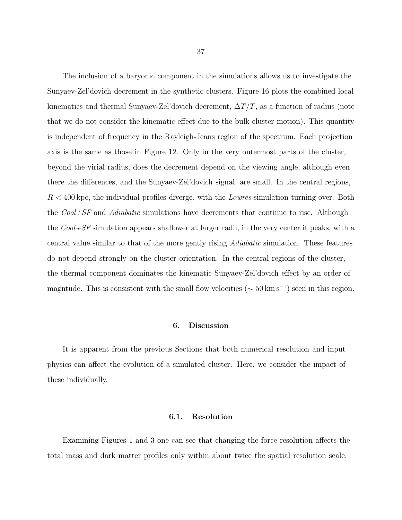The inclusion of a baryonic component in the simulations allows us to investigate the Sunyaev-Zel'dovich decrement in the synthetic clusters. Figure 16 plots the combined local kinematics and thermal Sunyaev-Zel'dovich decrement,  $\Delta T/T$ , as a function of radius (note that we do not consider the kinematic effect due to the bulk cluster motion). This quantity is independent of frequency in the Rayleigh-Jeans region of the spectrum. Each projection axis is the same as those in Figure 12. Only in the very outermost parts of the cluster, beyond the virial radius, does the decrement depend on the viewing angle, although even there the differences, and the Sunyaev-Zel'dovich signal, are small. In the central regions,  $R < 400$  kpc, the individual profiles diverge, with the *Lowres* simulation turning over. Both the  $Cool+SF$  and Adiabatic simulations have decrements that continue to rise. Although the  $Cool+SF$  simulation appears shallower at larger radii, in the very center it peaks, with a central value similar to that of the more gently rising Adiabatic simulation. These features do not depend strongly on the cluster orientation. In the central regions of the cluster, the thermal component dominates the kinematic Sunyaev-Zel'dovich effect by an order of magntude. This is consistent with the small flow velocities ( $\sim 50 \,\mathrm{km \, s^{-1}}$ ) seen in this region.

# 6. Discussion

It is apparent from the previous Sections that both numerical resolution and input physics can affect the evolution of a simulated cluster. Here, we consider the impact of these individually.

# 6.1. Resolution

Examining Figures 1 and 3 one can see that changing the force resolution affects the total mass and dark matter profiles only within about twice the spatial resolution scale.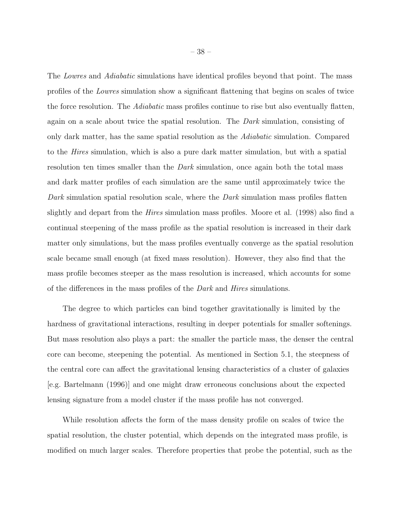The Lowres and Adiabatic simulations have identical profiles beyond that point. The mass profiles of the Lowres simulation show a significant flattening that begins on scales of twice the force resolution. The *Adiabatic* mass profiles continue to rise but also eventually flatten, again on a scale about twice the spatial resolution. The Dark simulation, consisting of only dark matter, has the same spatial resolution as the Adiabatic simulation. Compared to the Hires simulation, which is also a pure dark matter simulation, but with a spatial resolution ten times smaller than the *Dark* simulation, once again both the total mass and dark matter profiles of each simulation are the same until approximately twice the Dark simulation spatial resolution scale, where the Dark simulation mass profiles flatten slightly and depart from the Hires simulation mass profiles. Moore et al. (1998) also find a continual steepening of the mass profile as the spatial resolution is increased in their dark matter only simulations, but the mass profiles eventually converge as the spatial resolution scale became small enough (at fixed mass resolution). However, they also find that the mass profile becomes steeper as the mass resolution is increased, which accounts for some of the differences in the mass profiles of the Dark and Hires simulations.

The degree to which particles can bind together gravitationally is limited by the hardness of gravitational interactions, resulting in deeper potentials for smaller softenings. But mass resolution also plays a part: the smaller the particle mass, the denser the central core can become, steepening the potential. As mentioned in Section 5.1, the steepness of the central core can affect the gravitational lensing characteristics of a cluster of galaxies [e.g. Bartelmann (1996)] and one might draw erroneous conclusions about the expected lensing signature from a model cluster if the mass profile has not converged.

While resolution affects the form of the mass density profile on scales of twice the spatial resolution, the cluster potential, which depends on the integrated mass profile, is modified on much larger scales. Therefore properties that probe the potential, such as the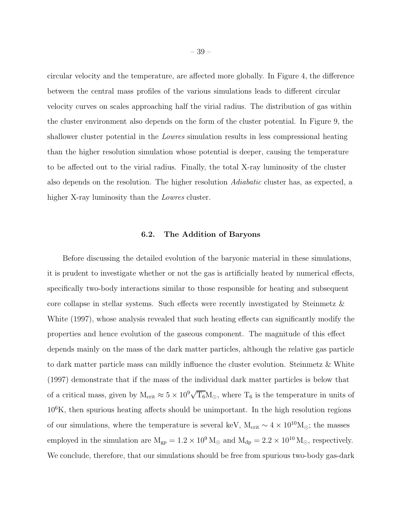circular velocity and the temperature, are affected more globally. In Figure 4, the difference between the central mass profiles of the various simulations leads to different circular velocity curves on scales approaching half the virial radius. The distribution of gas within the cluster environment also depends on the form of the cluster potential. In Figure 9, the shallower cluster potential in the Lowres simulation results in less compressional heating than the higher resolution simulation whose potential is deeper, causing the temperature to be affected out to the virial radius. Finally, the total X-ray luminosity of the cluster also depends on the resolution. The higher resolution Adiabatic cluster has, as expected, a higher X-ray luminosity than the *Lowres* cluster.

# 6.2. The Addition of Baryons

Before discussing the detailed evolution of the baryonic material in these simulations, it is prudent to investigate whether or not the gas is artificially heated by numerical effects, specifically two-body interactions similar to those responsible for heating and subsequent core collapse in stellar systems. Such effects were recently investigated by Steinmetz & White (1997), whose analysis revealed that such heating effects can significantly modify the properties and hence evolution of the gaseous component. The magnitude of this effect depends mainly on the mass of the dark matter particles, although the relative gas particle to dark matter particle mass can mildly influence the cluster evolution. Steinmetz & White (1997) demonstrate that if the mass of the individual dark matter particles is below that of a critical mass, given by  $M_{\text{crit}} \approx 5 \times 10^9 \sqrt{T_6} M_{\odot}$ , where  $T_6$  is the temperature in units of 10<sup>6</sup>K, then spurious heating affects should be unimportant. In the high resolution regions of our simulations, where the temperature is several keV,  $M_{\text{crit}} \sim 4 \times 10^{10} M_{\odot}$ ; the masses employed in the simulation are  $M_{gp} = 1.2 \times 10^9 M_{\odot}$  and  $M_{dp} = 2.2 \times 10^{10} M_{\odot}$ , respectively. We conclude, therefore, that our simulations should be free from spurious two-body gas-dark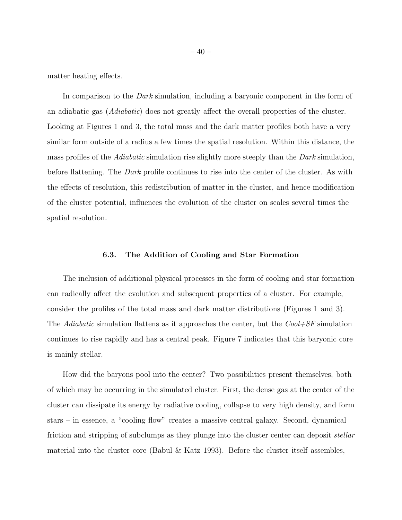matter heating effects.

In comparison to the *Dark* simulation, including a baryonic component in the form of an adiabatic gas (Adiabatic) does not greatly affect the overall properties of the cluster. Looking at Figures 1 and 3, the total mass and the dark matter profiles both have a very similar form outside of a radius a few times the spatial resolution. Within this distance, the mass profiles of the *Adiabatic* simulation rise slightly more steeply than the *Dark* simulation, before flattening. The *Dark* profile continues to rise into the center of the cluster. As with the effects of resolution, this redistribution of matter in the cluster, and hence modification of the cluster potential, influences the evolution of the cluster on scales several times the spatial resolution.

# 6.3. The Addition of Cooling and Star Formation

The inclusion of additional physical processes in the form of cooling and star formation can radically affect the evolution and subsequent properties of a cluster. For example, consider the profiles of the total mass and dark matter distributions (Figures 1 and 3). The Adiabatic simulation flattens as it approaches the center, but the  $Cool+SF$  simulation continues to rise rapidly and has a central peak. Figure 7 indicates that this baryonic core is mainly stellar.

How did the baryons pool into the center? Two possibilities present themselves, both of which may be occurring in the simulated cluster. First, the dense gas at the center of the cluster can dissipate its energy by radiative cooling, collapse to very high density, and form stars – in essence, a "cooling flow" creates a massive central galaxy. Second, dynamical friction and stripping of subclumps as they plunge into the cluster center can deposit *stellar* material into the cluster core (Babul & Katz 1993). Before the cluster itself assembles,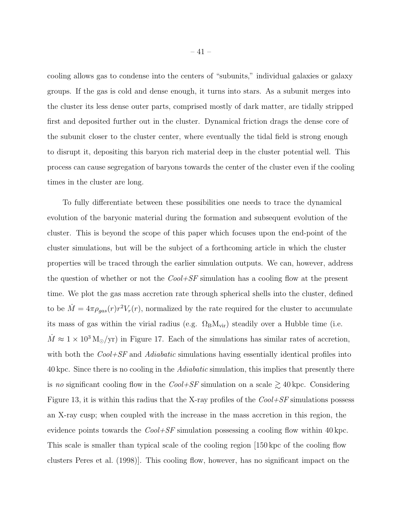cooling allows gas to condense into the centers of "subunits," individual galaxies or galaxy groups. If the gas is cold and dense enough, it turns into stars. As a subunit merges into the cluster its less dense outer parts, comprised mostly of dark matter, are tidally stripped first and deposited further out in the cluster. Dynamical friction drags the dense core of the subunit closer to the cluster center, where eventually the tidal field is strong enough to disrupt it, depositing this baryon rich material deep in the cluster potential well. This process can cause segregation of baryons towards the center of the cluster even if the cooling times in the cluster are long.

To fully differentiate between these possibilities one needs to trace the dynamical evolution of the baryonic material during the formation and subsequent evolution of the cluster. This is beyond the scope of this paper which focuses upon the end-point of the cluster simulations, but will be the subject of a forthcoming article in which the cluster properties will be traced through the earlier simulation outputs. We can, however, address the question of whether or not the  $Cool+SF$  simulation has a cooling flow at the present time. We plot the gas mass accretion rate through spherical shells into the cluster, defined to be  $\dot{M} = 4\pi \rho_{gas}(r) r^2 V_r(r)$ , normalized by the rate required for the cluster to accumulate its mass of gas within the virial radius (e.g.  $\Omega_B M_{vir}$ ) steadily over a Hubble time (i.e.  $\dot{M} \approx 1 \times 10^3 \,\mathrm{M}_{\odot}/\mathrm{yr}$ ) in Figure 17. Each of the simulations has similar rates of accretion, with both the  $Cool+SF$  and Adiabatic simulations having essentially identical profiles into 40 kpc. Since there is no cooling in the Adiabatic simulation, this implies that presently there is no significant cooling flow in the  $Cool+SF$  simulation on a scale  $\geq 40$  kpc. Considering Figure 13, it is within this radius that the X-ray profiles of the  $Cool+SF$  simulations possess an X-ray cusp; when coupled with the increase in the mass accretion in this region, the evidence points towards the  $Cool+SF$  simulation possessing a cooling flow within 40 kpc. This scale is smaller than typical scale of the cooling region [150 kpc of the cooling flow clusters Peres et al. (1998)]. This cooling flow, however, has no significant impact on the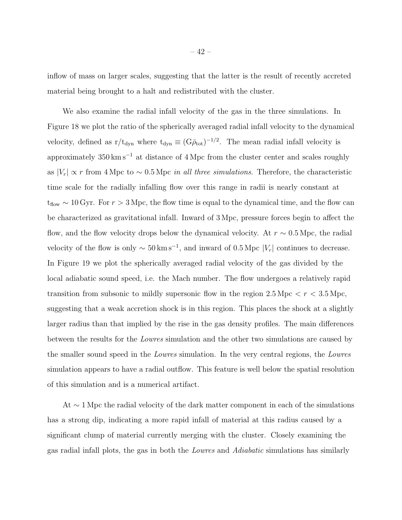inflow of mass on larger scales, suggesting that the latter is the result of recently accreted material being brought to a halt and redistributed with the cluster.

We also examine the radial infall velocity of the gas in the three simulations. In Figure 18 we plot the ratio of the spherically averaged radial infall velocity to the dynamical velocity, defined as  $r/t_{dyn}$  where  $t_{dyn} \equiv (G\bar{\rho}_{tot})^{-1/2}$ . The mean radial infall velocity is approximately 350 km s<sup>-1</sup> at distance of 4 Mpc from the cluster center and scales roughly as  $|V_r| \propto r$  from 4 Mpc to ~ 0.5 Mpc in all three simulations. Therefore, the characteristic time scale for the radially infalling flow over this range in radii is nearly constant at  $t_{flow} \sim 10 \text{ Gyr}$ . For  $r > 3 \text{ Mpc}$ , the flow time is equal to the dynamical time, and the flow can be characterized as gravitational infall. Inward of 3 Mpc, pressure forces begin to affect the flow, and the flow velocity drops below the dynamical velocity. At  $r \sim 0.5$  Mpc, the radial velocity of the flow is only  $\sim 50 \,\mathrm{km\,s^{-1}}$ , and inward of 0.5 Mpc  $|V_r|$  continues to decrease. In Figure 19 we plot the spherically averaged radial velocity of the gas divided by the local adiabatic sound speed, i.e. the Mach number. The flow undergoes a relatively rapid transition from subsonic to mildly supersonic flow in the region  $2.5\,{\rm Mpc} < r < 3.5\,{\rm Mpc},$ suggesting that a weak accretion shock is in this region. This places the shock at a slightly larger radius than that implied by the rise in the gas density profiles. The main differences between the results for the Lowres simulation and the other two simulations are caused by the smaller sound speed in the Lowres simulation. In the very central regions, the Lowres simulation appears to have a radial outflow. This feature is well below the spatial resolution of this simulation and is a numerical artifact.

At ∼ 1 Mpc the radial velocity of the dark matter component in each of the simulations has a strong dip, indicating a more rapid infall of material at this radius caused by a significant clump of material currently merging with the cluster. Closely examining the gas radial infall plots, the gas in both the Lowres and Adiabatic simulations has similarly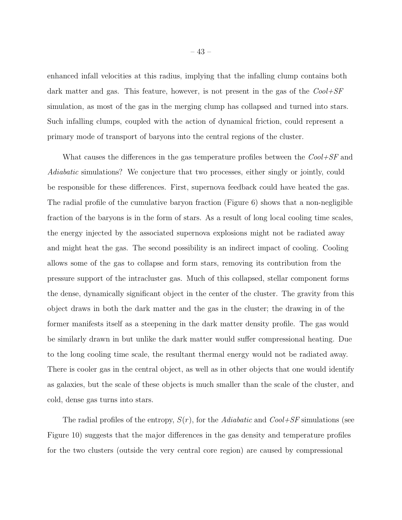enhanced infall velocities at this radius, implying that the infalling clump contains both dark matter and gas. This feature, however, is not present in the gas of the  $Cool+SF$ simulation, as most of the gas in the merging clump has collapsed and turned into stars. Such infalling clumps, coupled with the action of dynamical friction, could represent a primary mode of transport of baryons into the central regions of the cluster.

What causes the differences in the gas temperature profiles between the  $Cool+SF$  and Adiabatic simulations? We conjecture that two processes, either singly or jointly, could be responsible for these differences. First, supernova feedback could have heated the gas. The radial profile of the cumulative baryon fraction (Figure 6) shows that a non-negligible fraction of the baryons is in the form of stars. As a result of long local cooling time scales, the energy injected by the associated supernova explosions might not be radiated away and might heat the gas. The second possibility is an indirect impact of cooling. Cooling allows some of the gas to collapse and form stars, removing its contribution from the pressure support of the intracluster gas. Much of this collapsed, stellar component forms the dense, dynamically significant object in the center of the cluster. The gravity from this object draws in both the dark matter and the gas in the cluster; the drawing in of the former manifests itself as a steepening in the dark matter density profile. The gas would be similarly drawn in but unlike the dark matter would suffer compressional heating. Due to the long cooling time scale, the resultant thermal energy would not be radiated away. There is cooler gas in the central object, as well as in other objects that one would identify as galaxies, but the scale of these objects is much smaller than the scale of the cluster, and cold, dense gas turns into stars.

The radial profiles of the entropy,  $S(r)$ , for the *Adiabatic* and  $Cool+SF$  simulations (see Figure 10) suggests that the major differences in the gas density and temperature profiles for the two clusters (outside the very central core region) are caused by compressional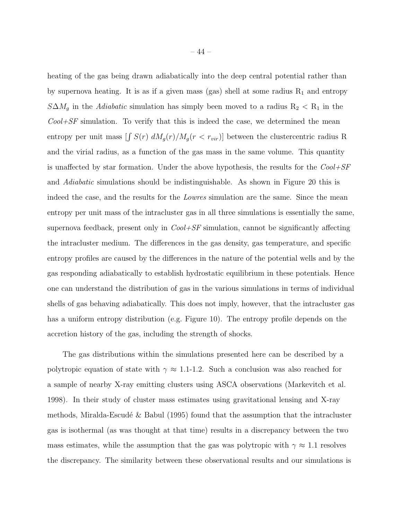heating of the gas being drawn adiabatically into the deep central potential rather than by supernova heating. It is as if a given mass (gas) shell at some radius  $R_1$  and entropy  $S\Delta M_g$  in the Adiabatic simulation has simply been moved to a radius R<sub>2</sub> < R<sub>1</sub> in the  $Cool+SF$  simulation. To verify that this is indeed the case, we determined the mean entropy per unit mass  $\iint S(r) dM_g(r)/M_g(r < r_{vir})$  between the clustercentric radius R and the virial radius, as a function of the gas mass in the same volume. This quantity is unaffected by star formation. Under the above hypothesis, the results for the  $Cool+SF$ and Adiabatic simulations should be indistinguishable. As shown in Figure 20 this is indeed the case, and the results for the Lowres simulation are the same. Since the mean entropy per unit mass of the intracluster gas in all three simulations is essentially the same, supernova feedback, present only in  $Cool+SF$  simulation, cannot be significantly affecting the intracluster medium. The differences in the gas density, gas temperature, and specific entropy profiles are caused by the differences in the nature of the potential wells and by the gas responding adiabatically to establish hydrostatic equilibrium in these potentials. Hence one can understand the distribution of gas in the various simulations in terms of individual shells of gas behaving adiabatically. This does not imply, however, that the intracluster gas has a uniform entropy distribution (e.g. Figure 10). The entropy profile depends on the accretion history of the gas, including the strength of shocks.

The gas distributions within the simulations presented here can be described by a polytropic equation of state with  $\gamma \approx 1.1$ -1.2. Such a conclusion was also reached for a sample of nearby X-ray emitting clusters using ASCA observations (Markevitch et al. 1998). In their study of cluster mass estimates using gravitational lensing and X-ray methods, Miralda-Escudé & Babul (1995) found that the assumption that the intracluster gas is isothermal (as was thought at that time) results in a discrepancy between the two mass estimates, while the assumption that the gas was polytropic with  $\gamma \approx 1.1$  resolves the discrepancy. The similarity between these observational results and our simulations is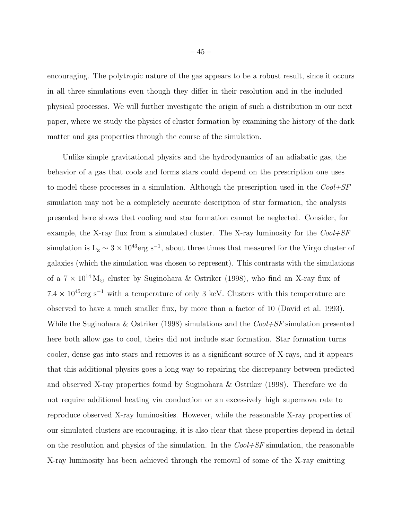encouraging. The polytropic nature of the gas appears to be a robust result, since it occurs in all three simulations even though they differ in their resolution and in the included physical processes. We will further investigate the origin of such a distribution in our next paper, where we study the physics of cluster formation by examining the history of the dark matter and gas properties through the course of the simulation.

Unlike simple gravitational physics and the hydrodynamics of an adiabatic gas, the behavior of a gas that cools and forms stars could depend on the prescription one uses to model these processes in a simulation. Although the prescription used in the  $Cool+SF$ simulation may not be a completely accurate description of star formation, the analysis presented here shows that cooling and star formation cannot be neglected. Consider, for example, the X-ray flux from a simulated cluster. The X-ray luminosity for the  $Cool+SF$ simulation is  $L_x \sim 3 \times 10^{43} \text{erg s}^{-1}$ , about three times that measured for the Virgo cluster of galaxies (which the simulation was chosen to represent). This contrasts with the simulations of a  $7 \times 10^{14}$  M<sub>☉</sub> cluster by Suginohara & Ostriker (1998), who find an X-ray flux of  $7.4 \times 10^{45}$  erg s<sup>-1</sup> with a temperature of only 3 keV. Clusters with this temperature are observed to have a much smaller flux, by more than a factor of 10 (David et al. 1993). While the Suginohara & Ostriker (1998) simulations and the  $Cool+SF$  simulation presented here both allow gas to cool, theirs did not include star formation. Star formation turns cooler, dense gas into stars and removes it as a significant source of X-rays, and it appears that this additional physics goes a long way to repairing the discrepancy between predicted and observed X-ray properties found by Suginohara & Ostriker (1998). Therefore we do not require additional heating via conduction or an excessively high supernova rate to reproduce observed X-ray luminosities. However, while the reasonable X-ray properties of our simulated clusters are encouraging, it is also clear that these properties depend in detail on the resolution and physics of the simulation. In the  $Cool+SF$  simulation, the reasonable X-ray luminosity has been achieved through the removal of some of the X-ray emitting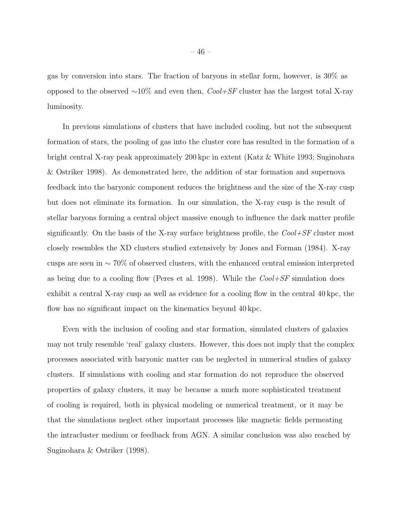gas by conversion into stars. The fraction of baryons in stellar form, however, is 30% as opposed to the observed  $\sim 10\%$  and even then, Cool+SF cluster has the largest total X-ray luminosity.

In previous simulations of clusters that have included cooling, but not the subsequent formation of stars, the pooling of gas into the cluster core has resulted in the formation of a bright central X-ray peak approximately 200 kpc in extent (Katz & White 1993; Suginohara & Ostriker 1998). As demonstrated here, the addition of star formation and supernova feedback into the baryonic component reduces the brightness and the size of the X-ray cusp but does not eliminate its formation. In our simulation, the X-ray cusp is the result of stellar baryons forming a central object massive enough to influence the dark matter profile significantly. On the basis of the X-ray surface brightness profile, the  $Cool+SF$  cluster most closely resembles the XD clusters studied extensively by Jones and Forman (1984). X-ray cusps are seen in ∼ 70% of observed clusters, with the enhanced central emission interpreted as being due to a cooling flow (Peres et al. 1998). While the  $Cool+SF$  simulation does exhibit a central X-ray cusp as well as evidence for a cooling flow in the central 40 kpc, the flow has no significant impact on the kinematics beyond 40 kpc.

Even with the inclusion of cooling and star formation, simulated clusters of galaxies may not truly resemble 'real' galaxy clusters. However, this does not imply that the complex processes associated with baryonic matter can be neglected in numerical studies of galaxy clusters. If simulations with cooling and star formation do not reproduce the observed properties of galaxy clusters, it may be because a much more sophisticated treatment of cooling is required, both in physical modeling or numerical treatment, or it may be that the simulations neglect other important processes like magnetic fields permeating the intracluster medium or feedback from AGN. A similar conclusion was also reached by Suginohara & Ostriker (1998).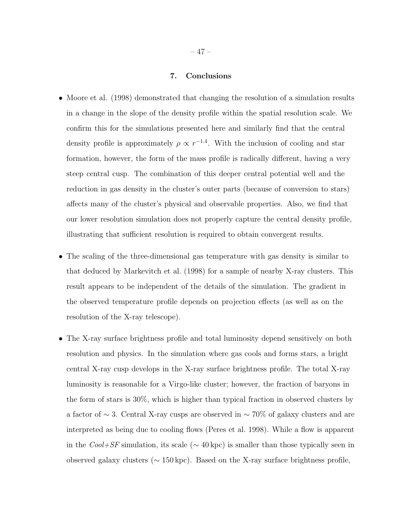# 7. Conclusions

- Moore et al. (1998) demonstrated that changing the resolution of a simulation results in a change in the slope of the density profile within the spatial resolution scale. We confirm this for the simulations presented here and similarly find that the central density profile is approximately  $\rho \propto r^{-1.4}$ . With the inclusion of cooling and star formation, however, the form of the mass profile is radically different, having a very steep central cusp. The combination of this deeper central potential well and the reduction in gas density in the cluster's outer parts (because of conversion to stars) affects many of the cluster's physical and observable properties. Also, we find that our lower resolution simulation does not properly capture the central density profile, illustrating that sufficient resolution is required to obtain convergent results.
- The scaling of the three-dimensional gas temperature with gas density is similar to that deduced by Markevitch et al. (1998) for a sample of nearby X-ray clusters. This result appears to be independent of the details of the simulation. The gradient in the observed temperature profile depends on projection effects (as well as on the resolution of the X-ray telescope).
- The X-ray surface brightness profile and total luminosity depend sensitively on both resolution and physics. In the simulation where gas cools and forms stars, a bright central X-ray cusp develops in the X-ray surface brightness profile. The total X-ray luminosity is reasonable for a Virgo-like cluster; however, the fraction of baryons in the form of stars is 30%, which is higher than typical fraction in observed clusters by a factor of ∼ 3. Central X-ray cusps are observed in ∼ 70% of galaxy clusters and are interpreted as being due to cooling flows (Peres et al. 1998). While a flow is apparent in the  $Cool+SF$  simulation, its scale ( $\sim 40 \,\text{kpc}$ ) is smaller than those typically seen in observed galaxy clusters (∼ 150 kpc). Based on the X-ray surface brightness profile,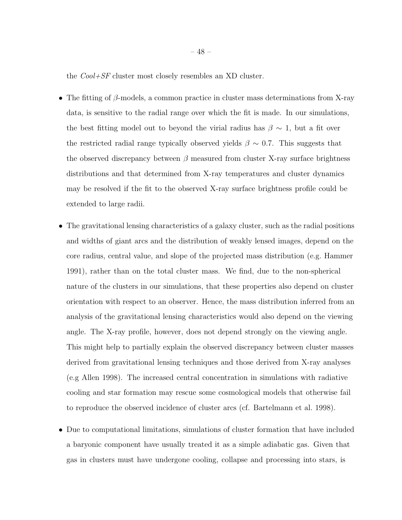the Cool+SF cluster most closely resembles an XD cluster.

- The fitting of  $\beta$ -models, a common practice in cluster mass determinations from X-ray data, is sensitive to the radial range over which the fit is made. In our simulations, the best fitting model out to beyond the virial radius has  $\beta \sim 1$ , but a fit over the restricted radial range typically observed yields  $\beta \sim 0.7$ . This suggests that the observed discrepancy between  $\beta$  measured from cluster X-ray surface brightness distributions and that determined from X-ray temperatures and cluster dynamics may be resolved if the fit to the observed X-ray surface brightness profile could be extended to large radii.
- The gravitational lensing characteristics of a galaxy cluster, such as the radial positions and widths of giant arcs and the distribution of weakly lensed images, depend on the core radius, central value, and slope of the projected mass distribution (e.g. Hammer 1991), rather than on the total cluster mass. We find, due to the non-spherical nature of the clusters in our simulations, that these properties also depend on cluster orientation with respect to an observer. Hence, the mass distribution inferred from an analysis of the gravitational lensing characteristics would also depend on the viewing angle. The X-ray profile, however, does not depend strongly on the viewing angle. This might help to partially explain the observed discrepancy between cluster masses derived from gravitational lensing techniques and those derived from X-ray analyses (e.g Allen 1998). The increased central concentration in simulations with radiative cooling and star formation may rescue some cosmological models that otherwise fail to reproduce the observed incidence of cluster arcs (cf. Bartelmann et al. 1998).
- Due to computational limitations, simulations of cluster formation that have included a baryonic component have usually treated it as a simple adiabatic gas. Given that gas in clusters must have undergone cooling, collapse and processing into stars, is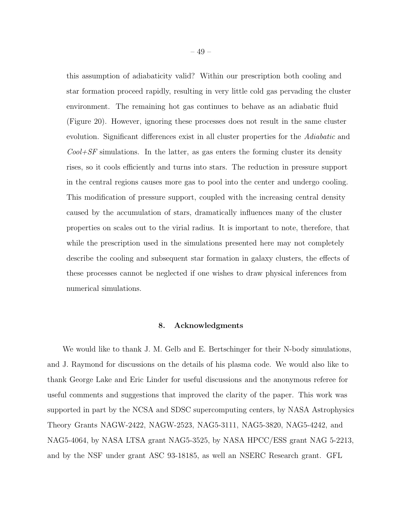this assumption of adiabaticity valid? Within our prescription both cooling and star formation proceed rapidly, resulting in very little cold gas pervading the cluster environment. The remaining hot gas continues to behave as an adiabatic fluid (Figure 20). However, ignoring these processes does not result in the same cluster evolution. Significant differences exist in all cluster properties for the *Adiabatic* and  $Cool+SF$  simulations. In the latter, as gas enters the forming cluster its density rises, so it cools efficiently and turns into stars. The reduction in pressure support in the central regions causes more gas to pool into the center and undergo cooling. This modification of pressure support, coupled with the increasing central density caused by the accumulation of stars, dramatically influences many of the cluster properties on scales out to the virial radius. It is important to note, therefore, that while the prescription used in the simulations presented here may not completely describe the cooling and subsequent star formation in galaxy clusters, the effects of these processes cannot be neglected if one wishes to draw physical inferences from numerical simulations.

# 8. Acknowledgments

We would like to thank J. M. Gelb and E. Bertschinger for their N-body simulations, and J. Raymond for discussions on the details of his plasma code. We would also like to thank George Lake and Eric Linder for useful discussions and the anonymous referee for useful comments and suggestions that improved the clarity of the paper. This work was supported in part by the NCSA and SDSC supercomputing centers, by NASA Astrophysics Theory Grants NAGW-2422, NAGW-2523, NAG5-3111, NAG5-3820, NAG5-4242, and NAG5-4064, by NASA LTSA grant NAG5-3525, by NASA HPCC/ESS grant NAG 5-2213, and by the NSF under grant ASC 93-18185, as well an NSERC Research grant. GFL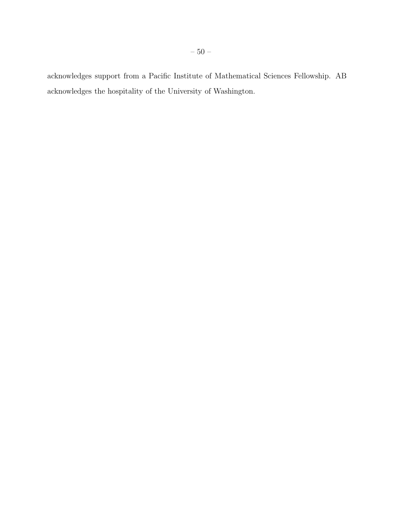acknowledges support from a Pacific Institute of Mathematical Sciences Fellowship. AB acknowledges the hospitality of the University of Washington.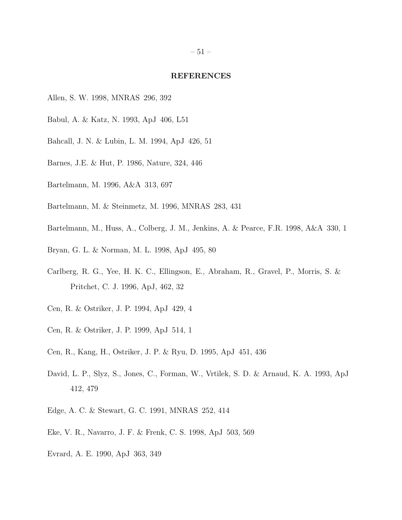### REFERENCES

- Allen, S. W. 1998, MNRAS 296, 392
- Babul, A. & Katz, N. 1993, ApJ 406, L51
- Bahcall, J. N. & Lubin, L. M. 1994, ApJ 426, 51
- Barnes, J.E. & Hut, P. 1986, Nature, 324, 446
- Bartelmann, M. 1996, A&A 313, 697
- Bartelmann, M. & Steinmetz, M. 1996, MNRAS 283, 431
- Bartelmann, M., Huss, A., Colberg, J. M., Jenkins, A. & Pearce, F.R. 1998, A&A 330, 1
- Bryan, G. L. & Norman, M. L. 1998, ApJ 495, 80
- Carlberg, R. G., Yee, H. K. C., Ellingson, E., Abraham, R., Gravel, P., Morris, S. & Pritchet, C. J. 1996, ApJ, 462, 32
- Cen, R. & Ostriker, J. P. 1994, ApJ 429, 4
- Cen, R. & Ostriker, J. P. 1999, ApJ 514, 1
- Cen, R., Kang, H., Ostriker, J. P. & Ryu, D. 1995, ApJ 451, 436
- David, L. P., Slyz, S., Jones, C., Forman, W., Vrtilek, S. D. & Arnaud, K. A. 1993, ApJ 412, 479
- Edge, A. C. & Stewart, G. C. 1991, MNRAS 252, 414
- Eke, V. R., Navarro, J. F. & Frenk, C. S. 1998, ApJ 503, 569
- Evrard, A. E. 1990, ApJ 363, 349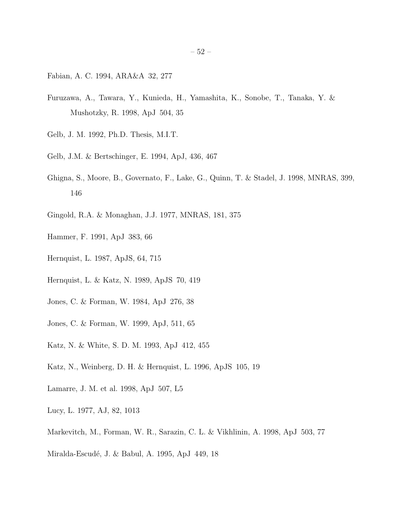- Fabian, A. C. 1994, ARA&A 32, 277
- Furuzawa, A., Tawara, Y., Kunieda, H., Yamashita, K., Sonobe, T., Tanaka, Y. & Mushotzky, R. 1998, ApJ 504, 35
- Gelb, J. M. 1992, Ph.D. Thesis, M.I.T.
- Gelb, J.M. & Bertschinger, E. 1994, ApJ, 436, 467
- Ghigna, S., Moore, B., Governato, F., Lake, G., Quinn, T. & Stadel, J. 1998, MNRAS, 399, 146
- Gingold, R.A. & Monaghan, J.J. 1977, MNRAS, 181, 375
- Hammer, F. 1991, ApJ 383, 66
- Hernquist, L. 1987, ApJS, 64, 715
- Hernquist, L. & Katz, N. 1989, ApJS 70, 419
- Jones, C. & Forman, W. 1984, ApJ 276, 38
- Jones, C. & Forman, W. 1999, ApJ, 511, 65
- Katz, N. & White, S. D. M. 1993, ApJ 412, 455
- Katz, N., Weinberg, D. H. & Hernquist, L. 1996, ApJS 105, 19
- Lamarre, J. M. et al. 1998, ApJ 507, L5
- Lucy, L. 1977, AJ, 82, 1013
- Markevitch, M., Forman, W. R., Sarazin, C. L. & Vikhlinin, A. 1998, ApJ 503, 77
- Miralda-Escudé, J. & Babul, A. 1995, ApJ 449, 18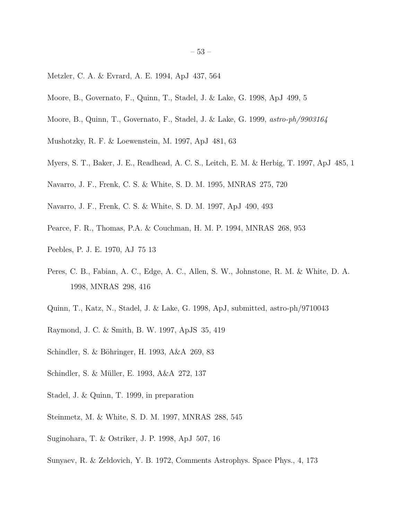- Metzler, C. A. & Evrard, A. E. 1994, ApJ 437, 564
- Moore, B., Governato, F., Quinn, T., Stadel, J. & Lake, G. 1998, ApJ 499, 5
- Moore, B., Quinn, T., Governato, F., Stadel, J. & Lake, G. 1999, astro-ph/9903164
- Mushotzky, R. F. & Loewenstein, M. 1997, ApJ 481, 63
- Myers, S. T., Baker, J. E., Readhead, A. C. S., Leitch, E. M. & Herbig, T. 1997, ApJ 485, 1
- Navarro, J. F., Frenk, C. S. & White, S. D. M. 1995, MNRAS 275, 720
- Navarro, J. F., Frenk, C. S. & White, S. D. M. 1997, ApJ 490, 493
- Pearce, F. R., Thomas, P.A. & Couchman, H. M. P. 1994, MNRAS 268, 953
- Peebles, P. J. E. 1970, AJ 75 13
- Peres, C. B., Fabian, A. C., Edge, A. C., Allen, S. W., Johnstone, R. M. & White, D. A. 1998, MNRAS 298, 416
- Quinn, T., Katz, N., Stadel, J. & Lake, G. 1998, ApJ, submitted, astro-ph/9710043
- Raymond, J. C. & Smith, B. W. 1997, ApJS 35, 419
- Schindler, S. & Böhringer, H. 1993, A&A  $269, 83$
- Schindler, S. & Müller, E. 1993, A&A 272, 137
- Stadel, J. & Quinn, T. 1999, in preparation
- Steinmetz, M. & White, S. D. M. 1997, MNRAS 288, 545
- Suginohara, T. & Ostriker, J. P. 1998, ApJ 507, 16
- Sunyaev, R. & Zeldovich, Y. B. 1972, Comments Astrophys. Space Phys., 4, 173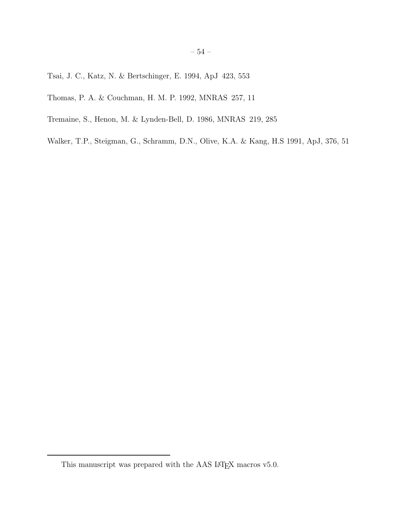- Tsai, J. C., Katz, N. & Bertschinger, E. 1994, ApJ 423, 553
- Thomas, P. A. & Couchman, H. M. P. 1992, MNRAS 257, 11
- Tremaine, S., Henon, M. & Lynden-Bell, D. 1986, MNRAS 219, 285
- Walker, T.P., Steigman, G., Schramm, D.N., Olive, K.A. & Kang, H.S 1991, ApJ, 376, 51

This manuscript was prepared with the AAS I4T<sub>E</sub>X macros v5.0.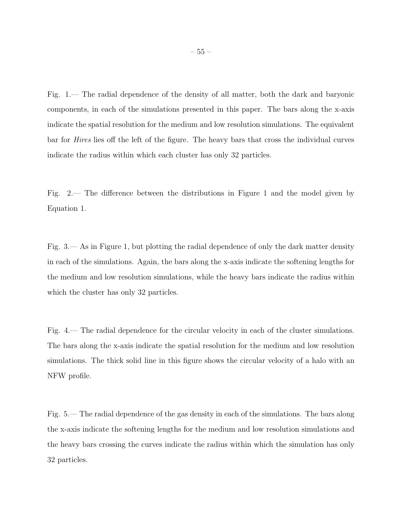Fig. 1.— The radial dependence of the density of all matter, both the dark and baryonic components, in each of the simulations presented in this paper. The bars along the x-axis indicate the spatial resolution for the medium and low resolution simulations. The equivalent bar for Hires lies off the left of the figure. The heavy bars that cross the individual curves indicate the radius within which each cluster has only 32 particles.

Fig. 2.— The difference between the distributions in Figure 1 and the model given by Equation 1.

Fig. 3.— As in Figure 1, but plotting the radial dependence of only the dark matter density in each of the simulations. Again, the bars along the x-axis indicate the softening lengths for the medium and low resolution simulations, while the heavy bars indicate the radius within which the cluster has only 32 particles.

Fig. 4.— The radial dependence for the circular velocity in each of the cluster simulations. The bars along the x-axis indicate the spatial resolution for the medium and low resolution simulations. The thick solid line in this figure shows the circular velocity of a halo with an NFW profile.

Fig. 5.— The radial dependence of the gas density in each of the simulations. The bars along the x-axis indicate the softening lengths for the medium and low resolution simulations and the heavy bars crossing the curves indicate the radius within which the simulation has only 32 particles.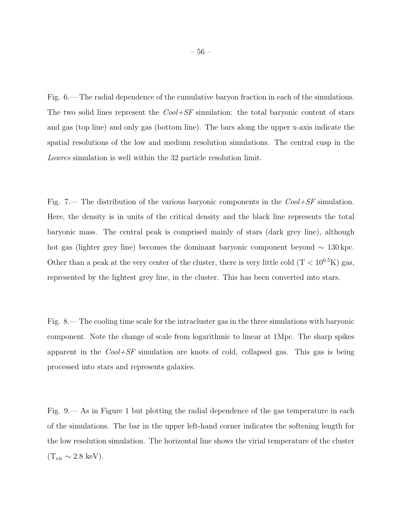Fig. 6.— The radial dependence of the cumulative baryon fraction in each of the simulations. The two solid lines represent the  $Cool+SF$  simulation: the total baryonic content of stars and gas (top line) and only gas (bottom line). The bars along the upper x-axis indicate the spatial resolutions of the low and medium resolution simulations. The central cusp in the Lowres simulation is well within the 32 particle resolution limit.

Fig. 7.— The distribution of the various baryonic components in the  $Cool+SF$  simulation. Here, the density is in units of the critical density and the black line represents the total baryonic mass. The central peak is comprised mainly of stars (dark grey line), although hot gas (lighter grey line) becomes the dominant baryonic component beyond ∼ 130 kpc. Other than a peak at the very center of the cluster, there is very little cold  $(T < 10^{6.5}$ K) gas, represented by the lightest grey line, in the cluster. This has been converted into stars.

Fig. 8.— The cooling time scale for the intracluster gas in the three simulations with baryonic component. Note the change of scale from logarithmic to linear at 1Mpc. The sharp spikes apparent in the  $Cool+SF$  simulation are knots of cold, collapsed gas. This gas is being processed into stars and represents galaxies.

Fig. 9.— As in Figure 1 but plotting the radial dependence of the gas temperature in each of the simulations. The bar in the upper left-hand corner indicates the softening length for the low resolution simulation. The horizontal line shows the virial temperature of the cluster  $(T_{\rm vir} \sim 2.8 \text{ keV}).$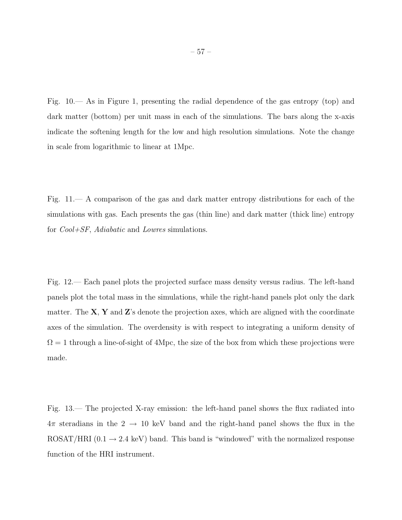Fig. 10.— As in Figure 1, presenting the radial dependence of the gas entropy (top) and dark matter (bottom) per unit mass in each of the simulations. The bars along the x-axis indicate the softening length for the low and high resolution simulations. Note the change in scale from logarithmic to linear at 1Mpc.

Fig. 11.— A comparison of the gas and dark matter entropy distributions for each of the simulations with gas. Each presents the gas (thin line) and dark matter (thick line) entropy for *Cool+SF*, *Adiabatic* and *Lowres* simulations.

Fig. 12.— Each panel plots the projected surface mass density versus radius. The left-hand panels plot the total mass in the simulations, while the right-hand panels plot only the dark matter. The  $X, Y$  and  $Z$ 's denote the projection axes, which are aligned with the coordinate axes of the simulation. The overdensity is with respect to integrating a uniform density of  $\Omega = 1$  through a line-of-sight of 4Mpc, the size of the box from which these projections were made.

Fig. 13.— The projected X-ray emission: the left-hand panel shows the flux radiated into  $4\pi$  steradians in the 2  $\rightarrow$  10 keV band and the right-hand panel shows the flux in the ROSAT/HRI  $(0.1 \rightarrow 2.4 \text{ keV})$  band. This band is "windowed" with the normalized response function of the HRI instrument.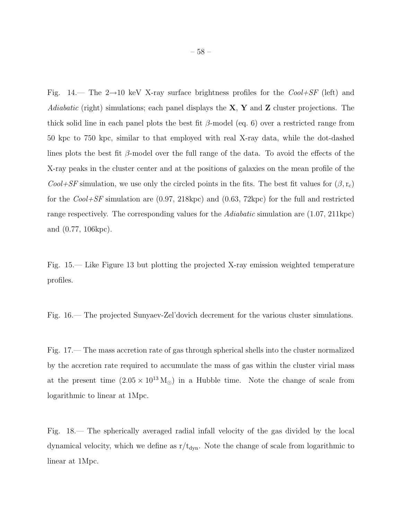Fig. 14.— The 2→10 keV X-ray surface brightness profiles for the  $Cool+SF$  (left) and *Adiabatic* (right) simulations; each panel displays the  $X, Y$  and  $Z$  cluster projections. The thick solid line in each panel plots the best fit  $\beta$ -model (eq. 6) over a restricted range from 50 kpc to 750 kpc, similar to that employed with real X-ray data, while the dot-dashed lines plots the best fit  $\beta$ -model over the full range of the data. To avoid the effects of the X-ray peaks in the cluster center and at the positions of galaxies on the mean profile of the  $Cool+SF$  simulation, we use only the circled points in the fits. The best fit values for  $(\beta, r_c)$ for the Cool+SF simulation are (0.97, 218kpc) and (0.63, 72kpc) for the full and restricted range respectively. The corresponding values for the Adiabatic simulation are (1.07, 211kpc) and (0.77, 106kpc).

Fig. 15.— Like Figure 13 but plotting the projected X-ray emission weighted temperature profiles.

Fig. 16.— The projected Sunyaev-Zel'dovich decrement for the various cluster simulations.

Fig. 17.— The mass accretion rate of gas through spherical shells into the cluster normalized by the accretion rate required to accumulate the mass of gas within the cluster virial mass at the present time  $(2.05 \times 10^{13} M_{\odot})$  in a Hubble time. Note the change of scale from logarithmic to linear at 1Mpc.

Fig. 18.— The spherically averaged radial infall velocity of the gas divided by the local dynamical velocity, which we define as  $r/t_{dyn}$ . Note the change of scale from logarithmic to linear at 1Mpc.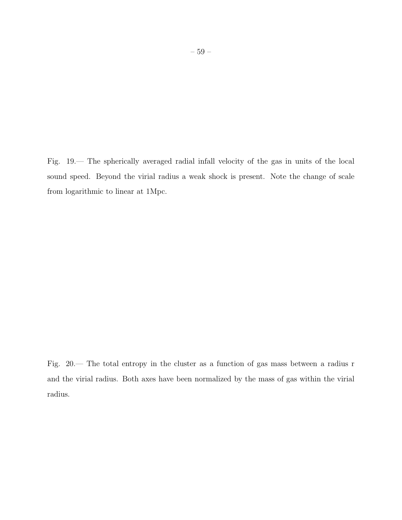Fig. 19.— The spherically averaged radial infall velocity of the gas in units of the local sound speed. Beyond the virial radius a weak shock is present. Note the change of scale from logarithmic to linear at 1Mpc.

Fig. 20.— The total entropy in the cluster as a function of gas mass between a radius r and the virial radius. Both axes have been normalized by the mass of gas within the virial radius.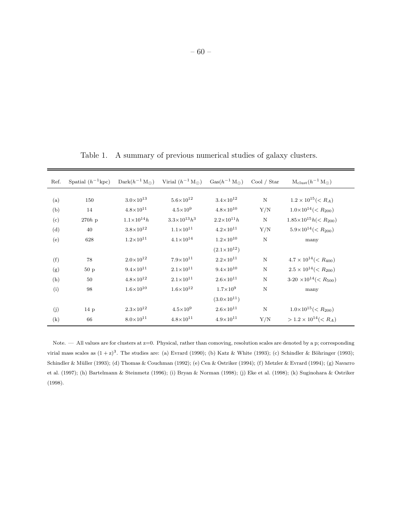| Ref. | Spatial $(h^{-1}$ kpc) | $\text{Dark}(h^{-1} M_{\odot})$ | Virial $(h^{-1} M_{\odot})$ | $\operatorname{Gas}(h^{-1} M_{\odot})$ | Cool / Star | $M_{\text{clust}}(h^{-1} M_{\odot})$ |
|------|------------------------|---------------------------------|-----------------------------|----------------------------------------|-------------|--------------------------------------|
| (a)  | 150                    | $3.0\times10^{13}$              | $5.6 \times 10^{12}$        | $3.4\times10^{12}$                     | N           | $1.2 \times 10^{15} (< R_A)$         |
| (b)  | 14                     | $4.8 \times 10^{11}$            | $4.5 \times 10^{9}$         | $4.8 \times 10^{10}$                   | Y/N         | $1.0\times10^{14} (< R_{200})$       |
| (c)  | $270h$ p $\,$          | $1.1 \times 10^{14} h$          | $3.3{\times}10^{13}h^3$     | $2.2 \times 10^{11} h$                 | N           | $1.85 \times 10^{15} h(< R_{200})$   |
| (d)  | 40                     | $3.8 \times 10^{12}$            | $1.1 \times 10^{11}$        | $4.2 \times 10^{11}$                   | Y/N         | $5.9\times10^{14} (< R_{200})$       |
| (e)  | 628                    | $1.2\times10^{11}$              | $4.1 \times 10^{14}$        | $1.2{\times}10^{10}$                   | $\mathbf N$ | many                                 |
|      |                        |                                 |                             | $(2.1\times10^{12})$                   |             |                                      |
| (f)  | 78                     | $2.0\times10^{12}$              | $7.9\times10^{11}$          | $2.2\times10^{11}$                     | N           | $4.7 \times 10^{14} (< R_{400})$     |
| (g)  | 50p                    | $9.4\times10^{11}$              | $2.1 \times 10^{11}$        | $9.4 \times 10^{10}$                   | $\mathbf N$ | $2.5 \times 10^{14} (< R_{200})$     |
| (h)  | 50                     | $4.8 \times 10^{12}$            | $2.1 \times 10^{11}$        | $2.6 \times 10^{11}$                   | $\mathbf N$ | $3-20 \times 10^{14} (< R_{500})$    |
| (i)  | 98                     | $1.6{\times}10^{10}$            | $1.6 \times 10^{12}$        | $1.7\times10^{9}$                      | N           | many                                 |
|      |                        |                                 |                             | $(3.0\times10^{11})$                   |             |                                      |
| (j)  | 14p                    | $2.3 \times 10^{12}$            | $4.5 \times 10^{9}$         | $2.6\times10^{11}$                     | N           | $1.0\times10^{15} (< R_{200})$       |
| (k)  | 66                     | $8.0 \times 10^{11}$            | $4.8{\times}10^{11}$        | $4.9 \times 10^{11}$                   | Y/N         | $> 1.2 \times 10^{14} (< R_A)$       |

Table 1. A summary of previous numerical studies of galaxy clusters.

Note. — All values are for clusters at z=0. Physical, rather than comoving, resolution scales are denoted by a p; corresponding virial mass scales as  $(1+z)^3$ . The studies are: (a) Evrard (1990); (b) Katz & White (1993); (c) Schindler & Böhringer (1993); Schindler & Müller (1993); (d) Thomas & Couchman (1992); (e) Cen & Ostriker (1994); (f) Metzler & Evrard (1994); (g) Navarro et al. (1997); (h) Bartelmann & Steinmetz (1996); (i) Bryan & Norman (1998); (j) Eke et al. (1998); (k) Suginohara & Ostriker (1998).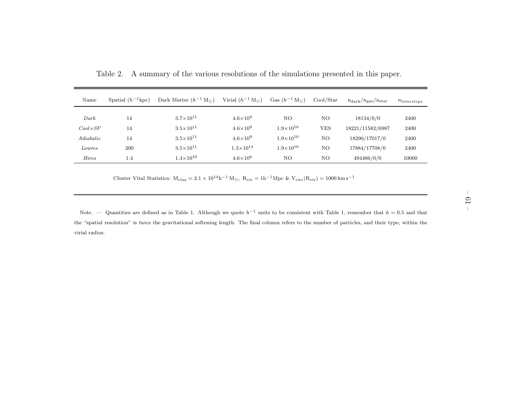| Name         | Spatial $(h^{-1}kpc)$ | Dark Matter $(h^{-1} M_{\odot})$ | Virial $(h^{-1} M_{\odot})$ | Gas $(h^{-1} M_{\odot})$ | $\mathrm{Cool}/\mathrm{Star}$ | $n_{\rm dark}/n_{\rm gas}/n_{\rm star}$ | $n_{time steps}$ |
|--------------|-----------------------|----------------------------------|-----------------------------|--------------------------|-------------------------------|-----------------------------------------|------------------|
| Dark         | 14                    | $3.7 \times 10^{11}$             | $4.6 \times 10^{9}$         | NΟ                       | NO.                           | 18134/0/0                               | 2400             |
| $Cool+SF$    | 14                    | $3.5 \times 10^{11}$             | $4.6\times10^{9}$           | $1.9\times10^{10}$       | <b>YES</b>                    | 18221/11582/6987                        | 2400             |
| Adiabatic    | 14                    | $3.5 \times 10^{11}$             | $4.6\times10^{9}$           | $1.9 \times 10^{10}$     | NO                            | 18290/17017/0                           | 2400             |
| Lowres       | 200                   | $3.5 \times 10^{11}$             | $1.3 \times 10^{13}$        | $1.9 \times 10^{10}$     | NO                            | 17884/17708/0                           | 2400             |
| <b>Hires</b> | 1.4                   | $1.4\times10^{10}$               | $4.6\times10^{6}$           | NO.                      | NO.                           | 494486/0/0                              | 10000            |

Table 2. <sup>A</sup> summary of the various resolutions of the simulations presented in this paper.

Cluster Vital Statistics:  $M_{\text{clus}} = 2.1 \times 10^{14} h^{-1} M_{\odot}$ ,  $R_{\text{vir}} = 1 h^{-1} Mpc \& V_{\text{circ}}(R_{\text{vir}}) = 1000 \text{ km s}^{-1}$ 

Note. — Quantities are defined as in Table 1. Although we quote  $h^{-1}$  units to be consistent with Table 1, remember that  $h = 0.5$  and that the "spatial resolution" is *twice* the gravitational softening length. The final column refers to the number of particles, and their type, within the virial radius.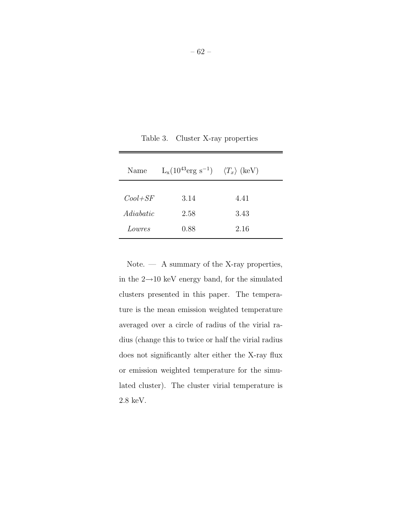| Name        | $L_{\rm x}(10^{43} \text{erg s}^{-1})$ $\langle T_x \rangle$ (keV) |      |  |
|-------------|--------------------------------------------------------------------|------|--|
| $Cool + SF$ | 3.14                                                               | 4.41 |  |
| Adiabatic   | 2.58                                                               | 3.43 |  |
| Loures      | 0.88                                                               | 2.16 |  |

Table 3. Cluster X-ray properties

Note.  $-$  A summary of the X-ray properties, in the 2→10 keV energy band, for the simulated clusters presented in this paper. The temperature is the mean emission weighted temperature averaged over a circle of radius of the virial radius (change this to twice or half the virial radius does not significantly alter either the X-ray flux or emission weighted temperature for the simulated cluster). The cluster virial temperature is 2.8 keV.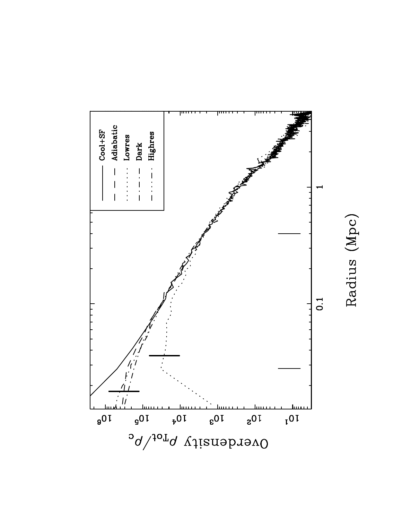

Radius (Mpc)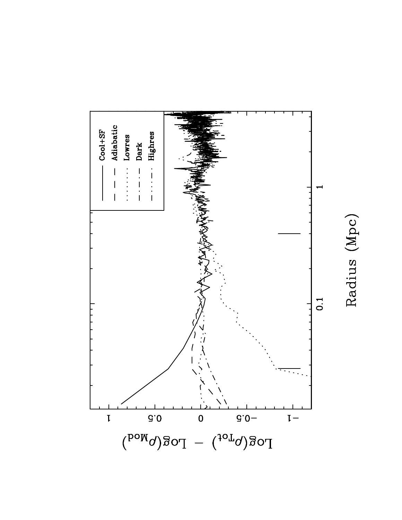

Radius (Mpc)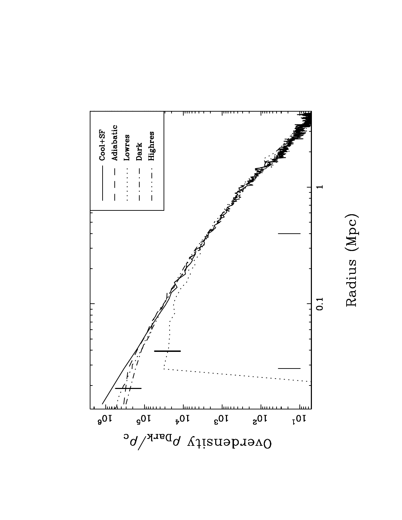

Radius (Mpc)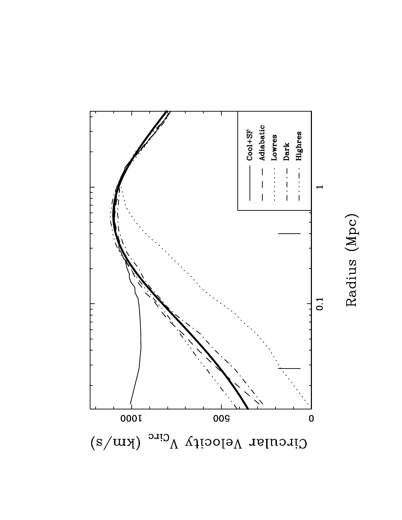

Circular Velocity  $\operatorname{V}_{\operatorname{circ}}$  (km/s)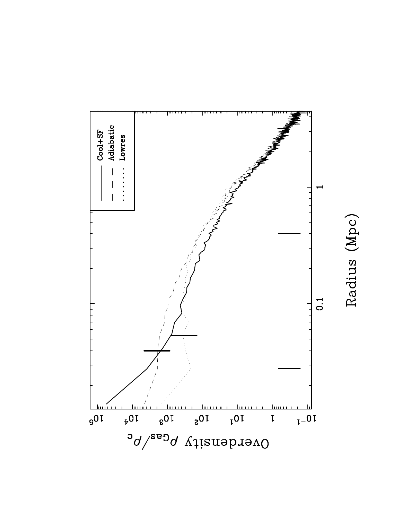

Radius (Mpc)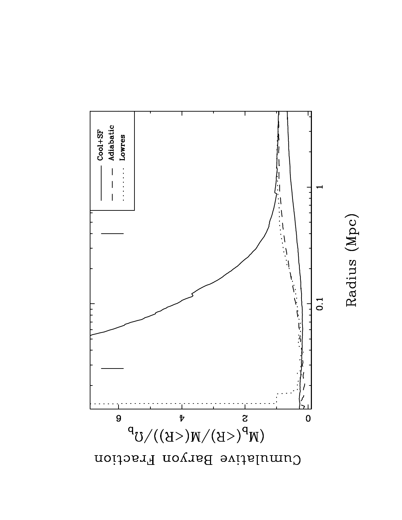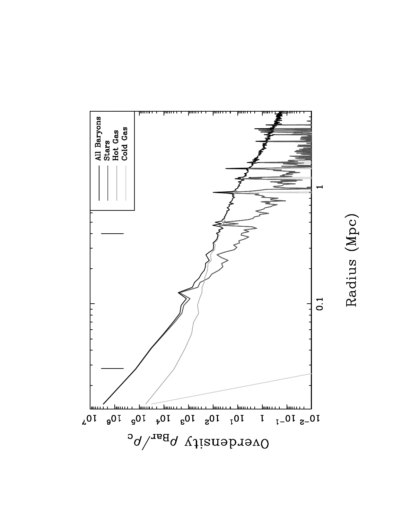

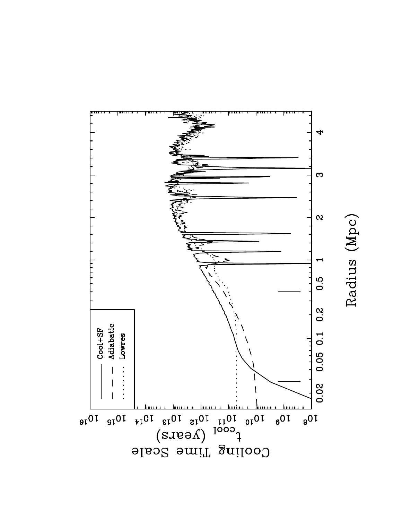

Radius (Mpc)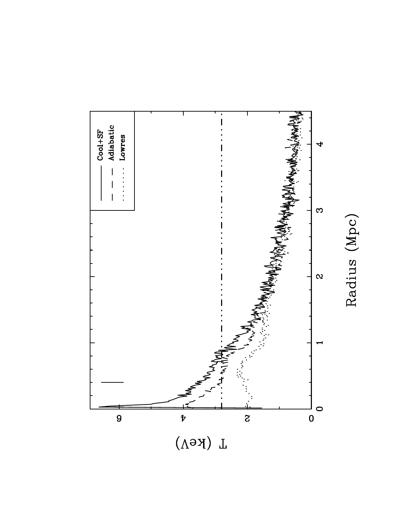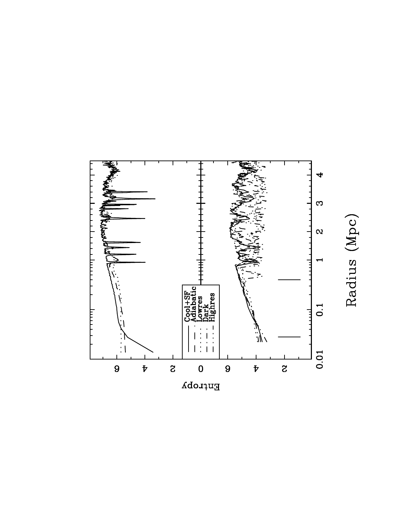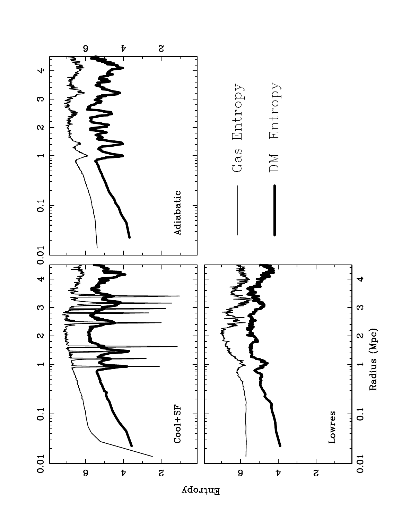

Entropy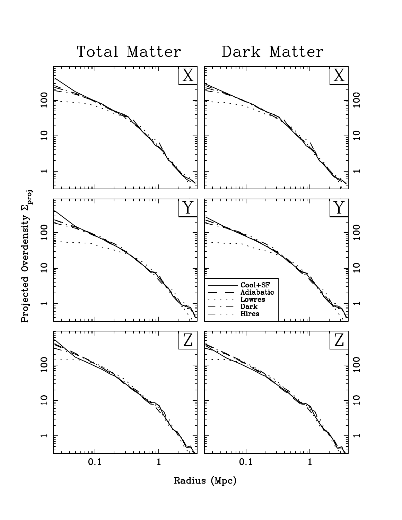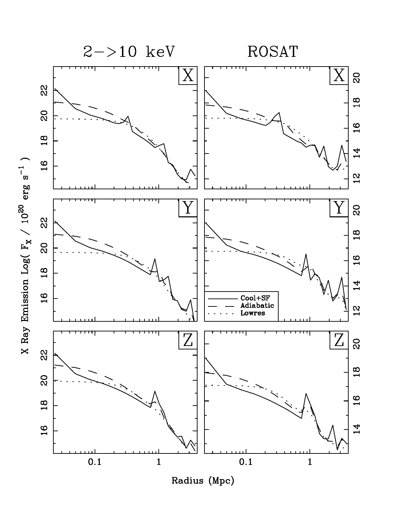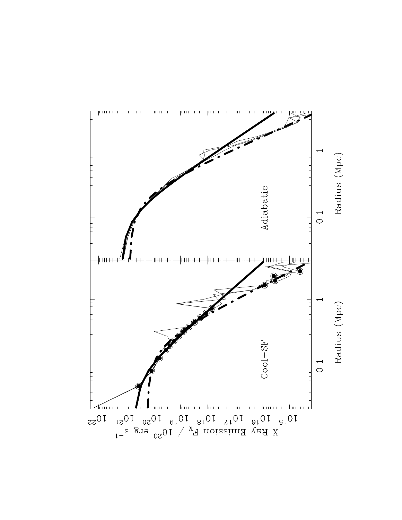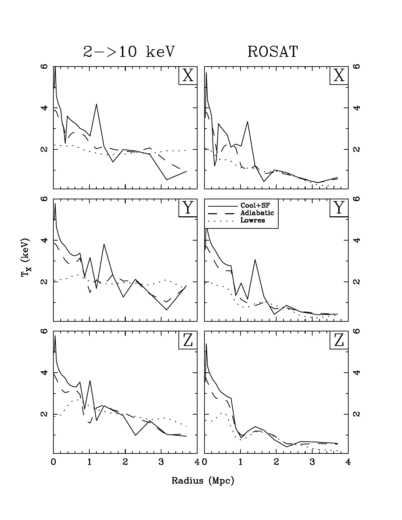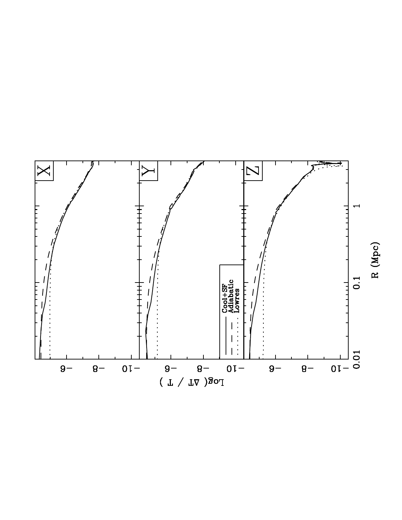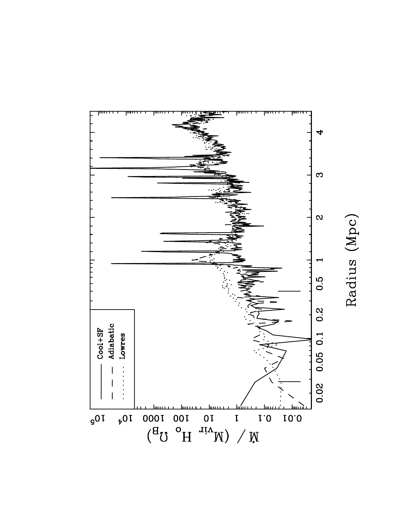

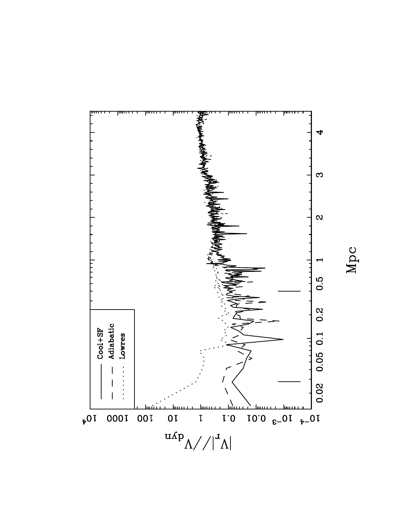

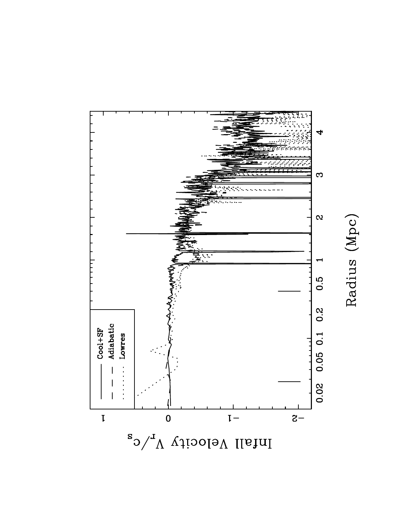